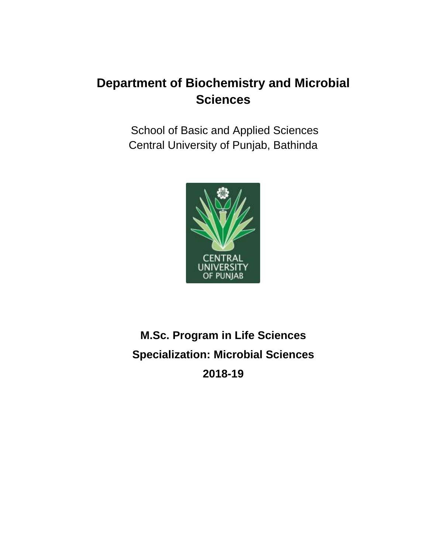School of Basic and Applied Sciences Central University of Punjab, Bathinda



# **M.Sc. Program in Life Sciences Specialization: Microbial Sciences 2018-19**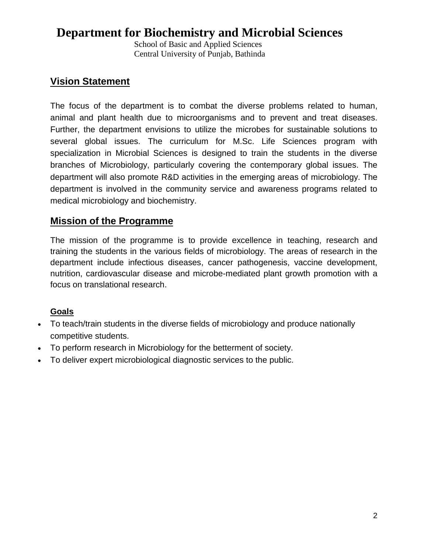School of Basic and Applied Sciences Central University of Punjab, Bathinda

## **Vision Statement**

The focus of the department is to combat the diverse problems related to human, animal and plant health due to microorganisms and to prevent and treat diseases. Further, the department envisions to utilize the microbes for sustainable solutions to several global issues. The curriculum for M.Sc. Life Sciences program with specialization in Microbial Sciences is designed to train the students in the diverse branches of Microbiology, particularly covering the contemporary global issues. The department will also promote R&D activities in the emerging areas of microbiology. The department is involved in the community service and awareness programs related to medical microbiology and biochemistry.

## **Mission of the Programme**

The mission of the programme is to provide excellence in teaching, research and training the students in the various fields of microbiology. The areas of research in the department include infectious diseases, cancer pathogenesis, vaccine development, nutrition, cardiovascular disease and microbe-mediated plant growth promotion with a focus on translational research.

## **Goals**

- To teach/train students in the diverse fields of microbiology and produce nationally competitive students.
- To perform research in Microbiology for the betterment of society.
- To deliver expert microbiological diagnostic services to the public.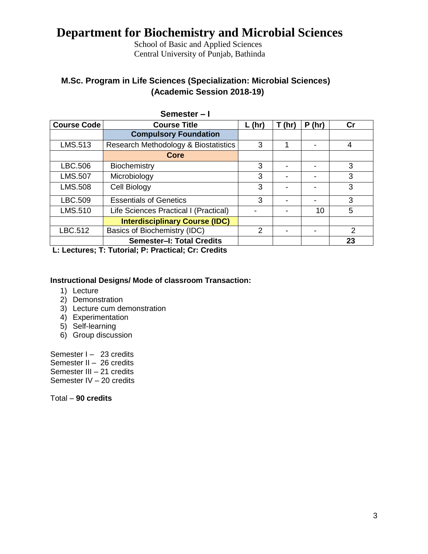School of Basic and Applied Sciences Central University of Punjab, Bathinda

## **M.Sc. Program in Life Sciences (Specialization: Microbial Sciences) (Academic Session 2018-19)**

|                    | Semester-I                            |          |        |       |    |
|--------------------|---------------------------------------|----------|--------|-------|----|
| <b>Course Code</b> | <b>Course Title</b>                   | $L$ (hr) | T (hr) | P(hr) | Cr |
|                    | <b>Compulsory Foundation</b>          |          |        |       |    |
| LMS.513            | Research Methodology & Biostatistics  | 3        |        |       | 4  |
|                    | Core                                  |          |        |       |    |
| LBC.506            | Biochemistry                          | 3        |        |       | 3  |
| <b>LMS.507</b>     | Microbiology                          | 3        |        |       | 3  |
| <b>LMS.508</b>     | Cell Biology                          | 3        |        |       | 3  |
| LBC.509            | <b>Essentials of Genetics</b>         | 3        |        |       | 3  |
| <b>LMS.510</b>     | Life Sciences Practical I (Practical) |          |        | 10    | 5  |
|                    | <b>Interdisciplinary Course (IDC)</b> |          |        |       |    |
| LBC.512            | Basics of Biochemistry (IDC)          | 2        |        |       | 2  |
|                    | Semester-I: Total Credits             |          |        |       | 23 |

**L: Lectures; T: Tutorial; P: Practical; Cr: Credits**

#### **Instructional Designs/ Mode of classroom Transaction:**

- 1) Lecture
- 2) Demonstration
- 3) Lecture cum demonstration
- 4) Experimentation
- 5) Self-learning
- 6) Group discussion

Semester I - 23 credits Semester II – 26 credits Semester III – 21 credits Semester IV – 20 credits

Total – **90 credits**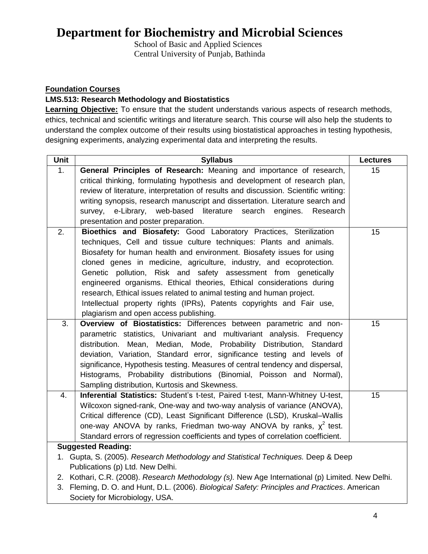School of Basic and Applied Sciences Central University of Punjab, Bathinda

### **Foundation Courses**

### **LMS.513: Research Methodology and Biostatistics**

**Learning Objective:** To ensure that the student understands various aspects of research methods, ethics, technical and scientific writings and literature search. This course will also help the students to understand the complex outcome of their results using biostatistical approaches in testing hypothesis, designing experiments, analyzing experimental data and interpreting the results.

| Unit             | <b>Syllabus</b>                                                                               | <b>Lectures</b> |
|------------------|-----------------------------------------------------------------------------------------------|-----------------|
| 1.               | General Principles of Research: Meaning and importance of research,                           | 15              |
|                  | critical thinking, formulating hypothesis and development of research plan,                   |                 |
|                  | review of literature, interpretation of results and discussion. Scientific writing:           |                 |
|                  | writing synopsis, research manuscript and dissertation. Literature search and                 |                 |
|                  | survey, e-Library, web-based literature search<br>engines.<br>Research                        |                 |
|                  | presentation and poster preparation.                                                          |                 |
| $\overline{2}$ . | Bioethics and Biosafety: Good Laboratory Practices, Sterilization                             | 15              |
|                  | techniques, Cell and tissue culture techniques: Plants and animals.                           |                 |
|                  | Biosafety for human health and environment. Biosafety issues for using                        |                 |
|                  | cloned genes in medicine, agriculture, industry, and ecoprotection.                           |                 |
|                  | Genetic pollution, Risk and safety assessment from genetically                                |                 |
|                  | engineered organisms. Ethical theories, Ethical considerations during                         |                 |
|                  | research, Ethical issues related to animal testing and human project.                         |                 |
|                  | Intellectual property rights (IPRs), Patents copyrights and Fair use,                         |                 |
|                  | plagiarism and open access publishing.                                                        |                 |
| 3.               | Overview of Biostatistics: Differences between parametric and non-                            | 15              |
|                  | parametric statistics, Univariant and multivariant analysis. Frequency                        |                 |
|                  | distribution. Mean, Median, Mode, Probability Distribution, Standard                          |                 |
|                  | deviation, Variation, Standard error, significance testing and levels of                      |                 |
|                  | significance, Hypothesis testing. Measures of central tendency and dispersal,                 |                 |
|                  | Histograms, Probability distributions (Binomial, Poisson and Normal),                         |                 |
|                  | Sampling distribution, Kurtosis and Skewness.                                                 |                 |
| 4.               | Inferential Statistics: Student's t-test, Paired t-test, Mann-Whitney U-test,                 | 15              |
|                  | Wilcoxon signed-rank, One-way and two-way analysis of variance (ANOVA),                       |                 |
|                  | Critical difference (CD), Least Significant Difference (LSD), Kruskal-Wallis                  |                 |
|                  | one-way ANOVA by ranks, Friedman two-way ANOVA by ranks, $\chi^2$ test.                       |                 |
|                  | Standard errors of regression coefficients and types of correlation coefficient.              |                 |
|                  | <b>Suggested Reading:</b>                                                                     |                 |
|                  | 1. Gupta, S. (2005). Research Methodology and Statistical Techniques. Deep & Deep             |                 |
|                  | Publications (p) Ltd. New Delhi.                                                              |                 |
| 2.               | Kothari, C.R. (2008). Research Methodology (s). New Age International (p) Limited. New Delhi. |                 |
| 3.               | Fleming, D. O. and Hunt, D.L. (2006). Biological Safety: Principles and Practices. American   |                 |
|                  | Society for Microbiology, USA.                                                                |                 |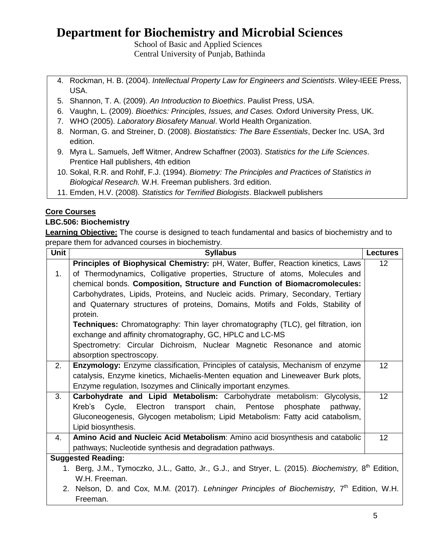School of Basic and Applied Sciences Central University of Punjab, Bathinda

- 4. Rockman, H. B. (2004). *Intellectual Property Law for Engineers and Scientists*. Wiley-IEEE Press, USA.
- 5. Shannon, T. A. (2009). *An Introduction to Bioethics*. Paulist Press, USA.
- 6. Vaughn, L. (2009). *Bioethics: Principles, Issues, and Cases.* Oxford University Press, UK.
- 7. WHO (2005). *Laboratory Biosafety Manual*. World Health Organization.
- 8. Norman, G. and Streiner, D. (2008). *Biostatistics: The Bare Essentials*, Decker Inc. USA, 3rd edition.
- 9. Myra L. Samuels, Jeff Witmer, Andrew Schaffner (2003). *Statistics for the Life Sciences*. Prentice Hall publishers, 4th edition
- 10. Sokal, R.R. and Rohlf, F.J. (1994). *Biometry: The Principles and Practices of Statistics in Biological Research.* W.H. Freeman publishers. 3rd edition.
- 11. Emden, H.V. (2008). *Statistics for Terrified Biologists*. Blackwell publishers

### **Core Courses**

### **LBC.506: Biochemistry**

**Learning Objective:** The course is designed to teach fundamental and basics of biochemistry and to prepare them for advanced courses in biochemistry.

| Unit | <b>Syllabus</b>                                                                                                | <b>Lectures</b>   |
|------|----------------------------------------------------------------------------------------------------------------|-------------------|
|      | Principles of Biophysical Chemistry: pH, Water, Buffer, Reaction kinetics, Laws                                | $12 \overline{ }$ |
| 1.   | of Thermodynamics, Colligative properties, Structure of atoms, Molecules and                                   |                   |
|      | chemical bonds. Composition, Structure and Function of Biomacromolecules:                                      |                   |
|      | Carbohydrates, Lipids, Proteins, and Nucleic acids. Primary, Secondary, Tertiary                               |                   |
|      | and Quaternary structures of proteins, Domains, Motifs and Folds, Stability of                                 |                   |
|      | protein.                                                                                                       |                   |
|      | <b>Techniques:</b> Chromatography: Thin layer chromatography (TLC), gel filtration, ion                        |                   |
|      | exchange and affinity chromatography, GC, HPLC and LC-MS                                                       |                   |
|      | Spectrometry: Circular Dichroism, Nuclear Magnetic Resonance and atomic                                        |                   |
|      | absorption spectroscopy.                                                                                       |                   |
| 2.   | <b>Enzymology:</b> Enzyme classification, Principles of catalysis, Mechanism of enzyme                         | 12                |
|      | catalysis, Enzyme kinetics, Michaelis-Menten equation and Lineweaver Burk plots,                               |                   |
|      | Enzyme regulation, Isozymes and Clinically important enzymes.                                                  |                   |
| 3.   | Carbohydrate and Lipid Metabolism: Carbohydrate metabolism: Glycolysis,                                        | 12                |
|      | Cycle, Electron transport chain, Pentose<br>Kreb's<br>phosphate<br>pathway.                                    |                   |
|      | Gluconeogenesis, Glycogen metabolism; Lipid Metabolism: Fatty acid catabolism,                                 |                   |
|      | Lipid biosynthesis.                                                                                            |                   |
| 4.   | Amino Acid and Nucleic Acid Metabolism: Amino acid biosynthesis and catabolic                                  | 12                |
|      | pathways; Nucleotide synthesis and degradation pathways.                                                       |                   |
|      | <b>Suggested Reading:</b>                                                                                      |                   |
|      | 1. Berg, J.M., Tymoczko, J.L., Gatto, Jr., G.J., and Stryer, L. (2015). Biochemistry, 8 <sup>th</sup> Edition, |                   |
|      | W.H. Freeman.                                                                                                  |                   |
|      | 2. Nelson, D. and Cox, M.M. (2017). Lehninger Principles of Biochemistry, 7 <sup>th</sup> Edition, W.H.        |                   |
|      | Freeman.                                                                                                       |                   |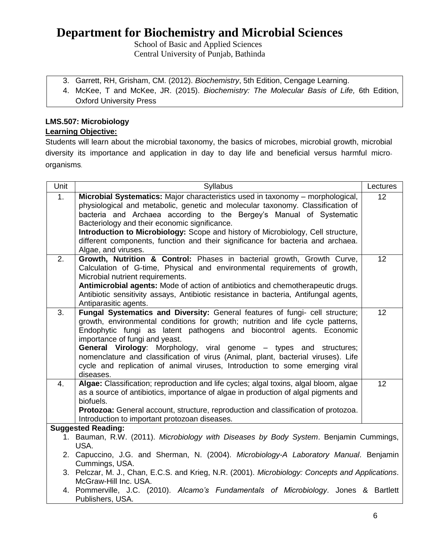School of Basic and Applied Sciences Central University of Punjab, Bathinda

- 3. Garrett, RH, Grisham, CM. (2012). *Biochemistry*, 5th Edition, Cengage Learning.
- 4. McKee, T and McKee, JR. (2015). *Biochemistry: The Molecular Basis of Life,* 6th Edition, Oxford University Press

### **LMS.507: Microbiology Learning Objective:**

Students will learn about the microbial taxonomy, the basics of microbes, microbial growth, microbial diversity its importance and application in day to day life and beneficial versus harmful microorganisms.

| Unit | <b>Syllabus</b>                                                                                                                                     | Lectures |
|------|-----------------------------------------------------------------------------------------------------------------------------------------------------|----------|
| 1.   | Microbial Systematics: Major characteristics used in taxonomy – morphological,                                                                      | 12       |
|      | physiological and metabolic, genetic and molecular taxonomy. Classification of                                                                      |          |
|      | bacteria and Archaea according to the Bergey's Manual of Systematic                                                                                 |          |
|      | Bacteriology and their economic significance.                                                                                                       |          |
|      | Introduction to Microbiology: Scope and history of Microbiology, Cell structure,                                                                    |          |
|      | different components, function and their significance for bacteria and archaea.                                                                     |          |
| 2.   | Algae, and viruses.                                                                                                                                 | 12       |
|      | Growth, Nutrition & Control: Phases in bacterial growth, Growth Curve,<br>Calculation of G-time, Physical and environmental requirements of growth, |          |
|      | Microbial nutrient requirements.                                                                                                                    |          |
|      | Antimicrobial agents: Mode of action of antibiotics and chemotherapeutic drugs.                                                                     |          |
|      | Antibiotic sensitivity assays, Antibiotic resistance in bacteria, Antifungal agents,                                                                |          |
|      | Antiparasitic agents.                                                                                                                               |          |
| 3.   | Fungal Systematics and Diversity: General features of fungi- cell structure;                                                                        | 12       |
|      | growth, environmental conditions for growth; nutrition and life cycle patterns,                                                                     |          |
|      | Endophytic fungi as latent pathogens and biocontrol agents. Economic                                                                                |          |
|      | importance of fungi and yeast.                                                                                                                      |          |
|      | General Virology: Morphology, viral genome - types and structures;                                                                                  |          |
|      | nomenclature and classification of virus (Animal, plant, bacterial viruses). Life                                                                   |          |
|      | cycle and replication of animal viruses, Introduction to some emerging viral                                                                        |          |
|      | diseases.                                                                                                                                           |          |
| 4.   | Algae: Classification; reproduction and life cycles; algal toxins, algal bloom, algae                                                               | 12       |
|      | as a source of antibiotics, importance of algae in production of algal pigments and<br>biofuels.                                                    |          |
|      | Protozoa: General account, structure, reproduction and classification of protozoa.                                                                  |          |
|      | Introduction to important protozoan diseases.                                                                                                       |          |
|      | <b>Suggested Reading:</b>                                                                                                                           |          |
|      | 1. Bauman, R.W. (2011). Microbiology with Diseases by Body System. Benjamin Cummings,                                                               |          |
|      | USA.                                                                                                                                                |          |
|      | 2. Capuccino, J.G. and Sherman, N. (2004). Microbiology-A Laboratory Manual. Benjamin                                                               |          |
|      | Cummings, USA.                                                                                                                                      |          |
|      | 3. Pelczar, M. J., Chan, E.C.S. and Krieg, N.R. (2001). Microbiology: Concepts and Applications.                                                    |          |
|      | McGraw-Hill Inc. USA.                                                                                                                               |          |
|      | 4. Pommerville, J.C. (2010). Alcamo's Fundamentals of Microbiology. Jones & Bartlett                                                                |          |
|      | Publishers, USA.                                                                                                                                    |          |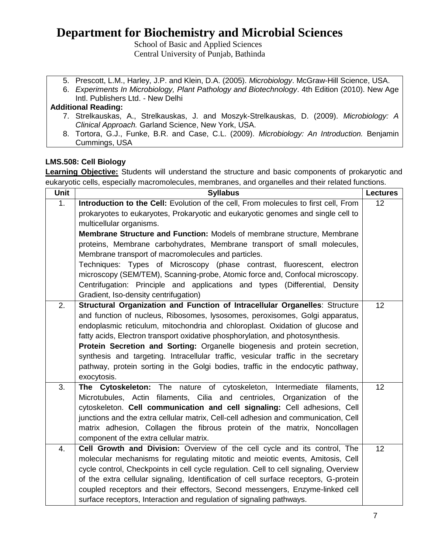School of Basic and Applied Sciences Central University of Punjab, Bathinda

- 5. Prescott, L.M., Harley, J.P. and Klein, D.A. (2005). *Microbiology*. McGraw-Hill Science, USA.
- 6. *Experiments In Microbiology, Plant Pathology and Biotechnology*. 4th Edition (2010). New Age Intl. Publishers Ltd. - New Delhi

### **Additional Reading:**

- 7. Strelkauskas, A., Strelkauskas, J. and Moszyk-Strelkauskas, D. (2009). *Microbiology: A Clinical Approach.* Garland Science, New York, USA.
- 8. Tortora, G.J., Funke, B.R. and Case, C.L. (2009). *Microbiology: An Introduction.* Benjamin Cummings, USA

### **LMS.508: Cell Biology**

**Learning Objective:** Students will understand the structure and basic components of prokaryotic and eukaryotic cells, especially macromolecules, membranes, and organelles and their related functions.

| <b>Unit</b> | <b>Syllabus</b>                                                                                                                                                                                                                                                                                                                                                                                                                                                                                                                                                                                      | <b>Lectures</b> |
|-------------|------------------------------------------------------------------------------------------------------------------------------------------------------------------------------------------------------------------------------------------------------------------------------------------------------------------------------------------------------------------------------------------------------------------------------------------------------------------------------------------------------------------------------------------------------------------------------------------------------|-----------------|
| 1.          | Introduction to the Cell: Evolution of the cell, From molecules to first cell, From<br>prokaryotes to eukaryotes, Prokaryotic and eukaryotic genomes and single cell to<br>multicellular organisms.<br><b>Membrane Structure and Function: Models of membrane structure, Membrane</b><br>proteins, Membrane carbohydrates, Membrane transport of small molecules,<br>Membrane transport of macromolecules and particles.<br>Techniques: Types of Microscopy (phase contrast, fluorescent, electron<br>microscopy (SEM/TEM), Scanning-probe, Atomic force and, Confocal microscopy.                   | 12              |
|             | Centrifugation: Principle and applications and types (Differential, Density<br>Gradient, Iso-density centrifugation)                                                                                                                                                                                                                                                                                                                                                                                                                                                                                 |                 |
| 2.          | Structural Organization and Function of Intracellular Organelles: Structure<br>and function of nucleus, Ribosomes, lysosomes, peroxisomes, Golgi apparatus,<br>endoplasmic reticulum, mitochondria and chloroplast. Oxidation of glucose and<br>fatty acids, Electron transport oxidative phosphorylation, and photosynthesis.<br>Protein Secretion and Sorting: Organelle biogenesis and protein secretion,<br>synthesis and targeting. Intracellular traffic, vesicular traffic in the secretary<br>pathway, protein sorting in the Golgi bodies, traffic in the endocytic pathway,<br>exocytosis. | 12              |
| 3.          | The Cytoskeleton: The nature of cytoskeleton, Intermediate filaments,<br>Microtubules, Actin filaments, Cilia and centrioles, Organization of the<br>cytoskeleton. Cell communication and cell signaling: Cell adhesions, Cell<br>junctions and the extra cellular matrix, Cell-cell adhesion and communication, Cell<br>matrix adhesion, Collagen the fibrous protein of the matrix, Noncollagen<br>component of the extra cellular matrix.                                                                                                                                                         | 12              |
| 4.          | <b>Cell Growth and Division:</b> Overview of the cell cycle and its control, The<br>molecular mechanisms for regulating mitotic and meiotic events, Amitosis, Cell<br>cycle control, Checkpoints in cell cycle regulation. Cell to cell signaling, Overview<br>of the extra cellular signaling, Identification of cell surface receptors, G-protein<br>coupled receptors and their effectors, Second messengers, Enzyme-linked cell<br>surface receptors, Interaction and regulation of signaling pathways.                                                                                          | 12              |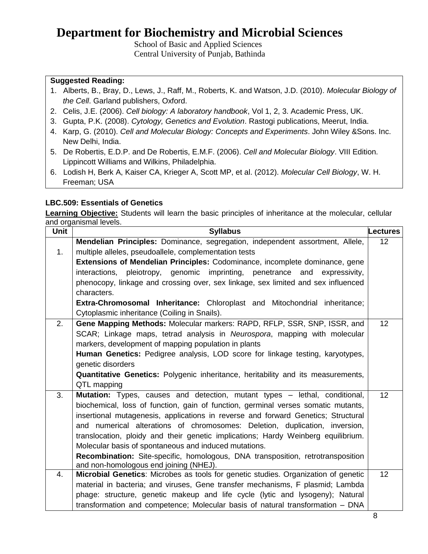School of Basic and Applied Sciences Central University of Punjab, Bathinda

### **Suggested Reading:**

- 1. Alberts, B., Bray, D., Lews, J., Raff, M., Roberts, K. and Watson, J.D. (2010). *Molecular Biology of the Cell*. Garland publishers, Oxford.
- 2. Celis, J.E. (2006). *Cell biology: A laboratory handbook*, Vol 1, 2, 3. Academic Press, UK.
- 3. Gupta, P.K. (2008). *Cytology, Genetics and Evolution*. Rastogi publications, Meerut, India.
- 4. Karp, G. (2010). *Cell and Molecular Biology: Concepts and Experiments*. John Wiley &Sons. Inc. New Delhi, India.
- 5. De Robertis, E.D.P. and De Robertis, E.M.F. (2006). *Cell and Molecular Biology*. VIII Edition. Lippincott Williams and Wilkins, Philadelphia.
- 6. Lodish H, Berk A, Kaiser CA, Krieger A, Scott MP, et al. (2012). *Molecular Cell Biology*, W. H. Freeman; USA

### **LBC.509: Essentials of Genetics**

**Learning Objective:** Students will learn the basic principles of inheritance at the molecular, cellular and organismal levels.

| Unit | <b>Syllabus</b>                                                                                                                                                  | <b>Lectures</b> |
|------|------------------------------------------------------------------------------------------------------------------------------------------------------------------|-----------------|
|      | Mendelian Principles: Dominance, segregation, independent assortment, Allele,                                                                                    | 12              |
| 1.   | multiple alleles, pseudoallele, complementation tests                                                                                                            |                 |
|      | <b>Extensions of Mendelian Principles:</b> Codominance, incomplete dominance, gene                                                                               |                 |
|      | interactions, pleiotropy, genomic imprinting, penetrance and<br>expressivity,                                                                                    |                 |
|      | phenocopy, linkage and crossing over, sex linkage, sex limited and sex influenced                                                                                |                 |
|      | characters.                                                                                                                                                      |                 |
|      | <b>Extra-Chromosomal Inheritance:</b> Chloroplast and Mitochondrial inheritance;                                                                                 |                 |
|      | Cytoplasmic inheritance (Coiling in Snails).                                                                                                                     |                 |
| 2.   | Gene Mapping Methods: Molecular markers: RAPD, RFLP, SSR, SNP, ISSR, and                                                                                         | 12              |
|      | SCAR; Linkage maps, tetrad analysis in Neurospora, mapping with molecular                                                                                        |                 |
|      | markers, development of mapping population in plants                                                                                                             |                 |
|      | Human Genetics: Pedigree analysis, LOD score for linkage testing, karyotypes,                                                                                    |                 |
|      | genetic disorders                                                                                                                                                |                 |
|      | <b>Quantitative Genetics:</b> Polygenic inheritance, heritability and its measurements,                                                                          |                 |
|      | QTL mapping                                                                                                                                                      |                 |
| 3.   | Mutation: Types, causes and detection, mutant types - lethal, conditional,                                                                                       | 12              |
|      | biochemical, loss of function, gain of function, germinal verses somatic mutants,                                                                                |                 |
|      | insertional mutagenesis, applications in reverse and forward Genetics; Structural<br>and numerical alterations of chromosomes: Deletion, duplication, inversion, |                 |
|      | translocation, ploidy and their genetic implications; Hardy Weinberg equilibrium.                                                                                |                 |
|      | Molecular basis of spontaneous and induced mutations.                                                                                                            |                 |
|      | Recombination: Site-specific, homologous, DNA transposition, retrotransposition                                                                                  |                 |
|      | and non-homologous end joining (NHEJ).                                                                                                                           |                 |
| 4.   | Microbial Genetics: Microbes as tools for genetic studies. Organization of genetic                                                                               | 12              |
|      | material in bacteria; and viruses, Gene transfer mechanisms, F plasmid; Lambda                                                                                   |                 |
|      | phage: structure, genetic makeup and life cycle (lytic and lysogeny); Natural                                                                                    |                 |
|      | transformation and competence; Molecular basis of natural transformation - DNA                                                                                   |                 |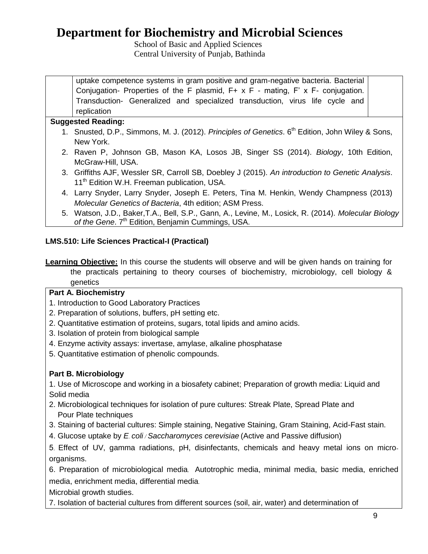School of Basic and Applied Sciences Central University of Punjab, Bathinda

uptake competence systems in gram positive and gram-negative bacteria. Bacterial Conjugation- Properties of the F plasmid, F+ x F - mating, F' x F- conjugation. Transduction- Generalized and specialized transduction, virus life cycle and replication

### **Suggested Reading:**

- 1. Snusted, D.P., Simmons, M. J. (2012). *Principles of Genetics*. 6<sup>th</sup> Edition, John Wiley & Sons, New York.
- 2. Raven P, Johnson GB, Mason KA, Losos JB, Singer SS (2014). *Biology*, 10th Edition, McGraw-Hill, USA.
- 3. Griffiths AJF, Wessler SR, Carroll SB, Doebley J (2015). *An introduction to Genetic Analysis*. 11<sup>th</sup> Edition W.H. Freeman publication, USA.
- 4. Larry Snyder, Larry Snyder, Joseph E. Peters, Tina M. Henkin, Wendy Champness (2013) *Molecular Genetics of Bacteria*, 4th edition; ASM Press.
- 5. Watson, J.D., Baker,T.A., Bell, S.P., Gann, A., Levine, M., Losick, R. (2014). *Molecular Biology*  of the Gene. 7<sup>th</sup> Edition, Benjamin Cummings, USA.

## **LMS.510: Life Sciences Practical-I (Practical)**

**Learning Objective:** In this course the students will observe and will be given hands on training for the practicals pertaining to theory courses of biochemistry, microbiology, cell biology & genetics

### **Part A. Biochemistry**

- 1. Introduction to Good Laboratory Practices
- 2. Preparation of solutions, buffers, pH setting etc.
- 2. Quantitative estimation of proteins, sugars, total lipids and amino acids.
- 3. Isolation of protein from biological sample
- 4. Enzyme activity assays: invertase, amylase, alkaline phosphatase
- 5. Quantitative estimation of phenolic compounds.

## **Part B. Microbiology**

1. Use of Microscope and working in a biosafety cabinet; Preparation of growth media: Liquid and Solid media

- 2. Microbiological techniques for isolation of pure cultures: Streak Plate, Spread Plate and Pour Plate techniques
- 3. Staining of bacterial cultures: Simple staining, Negative Staining, Gram Staining, Acid-Fast stain.
- 4. Glucose uptake by *E. coli / Saccharomyces cerevisiae* (Active and Passive diffusion)

5. Effect of UV, gamma radiations, pH, disinfectants, chemicals and heavy metal ions on microorganisms.

6. Preparation of microbiological media. Autotrophic media, minimal media, basic media, enriched media, enrichment media, differential media.

Microbial growth studies.

7. Isolation of bacterial cultures from different sources (soil, air, water) and determination of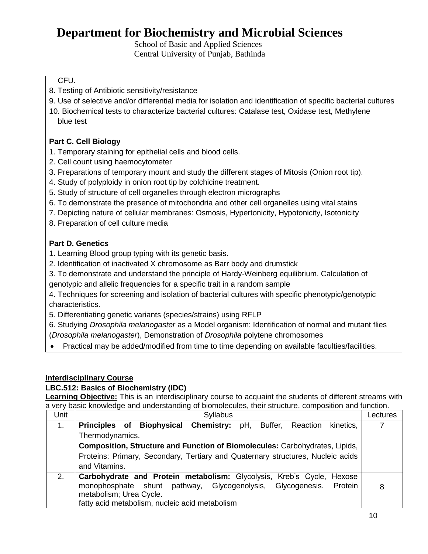School of Basic and Applied Sciences Central University of Punjab, Bathinda

### CFU.

- 8. Testing of Antibiotic sensitivity/resistance
- 9. Use of selective and/or differential media for isolation and identification of specific bacterial cultures
- 10. Biochemical tests to characterize bacterial cultures: Catalase test, Oxidase test, Methylene blue test

## **Part C. Cell Biology**

- 1. Temporary staining for epithelial cells and blood cells.
- 2. Cell count using haemocytometer
- 3. Preparations of temporary mount and study the different stages of Mitosis (Onion root tip).
- 4. Study of polyploidy in onion root tip by colchicine treatment.
- 5. Study of structure of cell organelles through electron micrographs
- 6. To demonstrate the presence of mitochondria and other cell organelles using vital stains
- 7. Depicting nature of cellular membranes: Osmosis, Hypertonicity, Hypotonicity, Isotonicity
- 8. Preparation of cell culture media

## **Part D. Genetics**

- 1. Learning Blood group typing with its genetic basis.
- 2. Identification of inactivated X chromosome as Barr body and drumstick
- 3. To demonstrate and understand the principle of Hardy-Weinberg equilibrium. Calculation of
- genotypic and allelic frequencies for a specific trait in a random sample
- 4. Techniques for screening and isolation of bacterial cultures with specific phenotypic/genotypic characteristics.
- 5. Differentiating genetic variants (species/strains) using RFLP
- 6. Studying *Drosophila melanogaster* as a Model organism: Identification of normal and mutant flies (*Drosophila melanogaster*), Demonstration of *Drosophila* polytene chromosomes
- Practical may be added/modified from time to time depending on available faculties/facilities.

### **Interdisciplinary Course**

## **LBC.512: Basics of Biochemistry (IDC)**

**Learning Objective:** This is an interdisciplinary course to acquaint the students of different streams with a very basic knowledge and understanding of biomolecules, their structure, composition and function.

| Unit | <b>Syllabus</b>                                                                 | Lectures |
|------|---------------------------------------------------------------------------------|----------|
| 1.   | Principles of Biophysical Chemistry: pH, Buffer, Reaction<br>kinetics,          |          |
|      | Thermodynamics.                                                                 |          |
|      | Composition, Structure and Function of Biomolecules: Carbohydrates, Lipids,     |          |
|      | Proteins: Primary, Secondary, Tertiary and Quaternary structures, Nucleic acids |          |
|      | and Vitamins.                                                                   |          |
| 2.   | Carbohydrate and Protein metabolism: Glycolysis, Kreb's Cycle, Hexose           |          |
|      | monophosphate shunt pathway, Glycogenolysis, Glycogenesis. Protein              | 8        |
|      | metabolism; Urea Cycle.                                                         |          |
|      | fatty acid metabolism, nucleic acid metabolism                                  |          |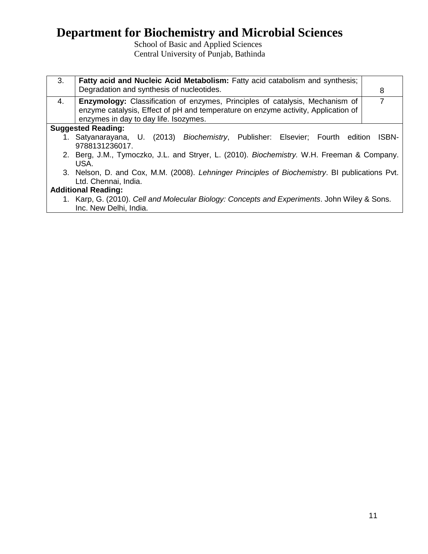School of Basic and Applied Sciences Central University of Punjab, Bathinda

| 3. | Fatty acid and Nucleic Acid Metabolism: Fatty acid catabolism and synthesis;                                                                                                                                      |              |
|----|-------------------------------------------------------------------------------------------------------------------------------------------------------------------------------------------------------------------|--------------|
|    | Degradation and synthesis of nucleotides.                                                                                                                                                                         | 8            |
| 4. | <b>Enzymology:</b> Classification of enzymes, Principles of catalysis, Mechanism of<br>enzyme catalysis, Effect of pH and temperature on enzyme activity, Application of<br>enzymes in day to day life. Isozymes. | 7            |
|    | <b>Suggested Reading:</b>                                                                                                                                                                                         |              |
|    | 1. Satyanarayana, U. (2013) Biochemistry, Publisher: Elsevier; Fourth edition                                                                                                                                     | <b>ISBN-</b> |
|    | 9788131236017.                                                                                                                                                                                                    |              |
|    | 2. Berg, J.M., Tymoczko, J.L. and Stryer, L. (2010). Biochemistry. W.H. Freeman & Company.                                                                                                                        |              |
|    | USA.                                                                                                                                                                                                              |              |
|    | 3. Nelson, D. and Cox, M.M. (2008). Lehninger Principles of Biochemistry. BI publications Pvt.                                                                                                                    |              |
|    | Ltd. Chennai, India.                                                                                                                                                                                              |              |
|    | <b>Additional Reading:</b>                                                                                                                                                                                        |              |
|    | 1. Karp, G. (2010). Cell and Molecular Biology: Concepts and Experiments. John Wiley & Sons.                                                                                                                      |              |
|    | Inc. New Delhi, India.                                                                                                                                                                                            |              |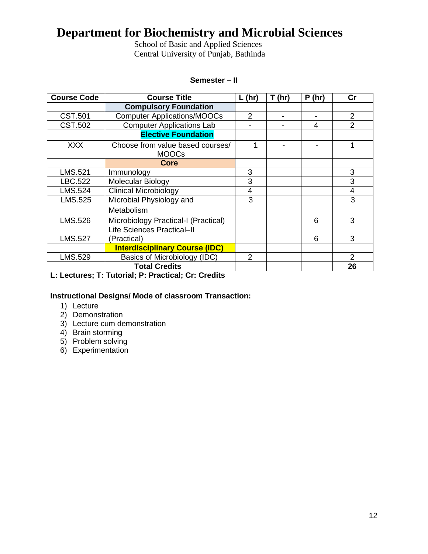School of Basic and Applied Sciences Central University of Punjab, Bathinda

#### **Semester – II**

| <b>Course Code</b> | <b>Course Title</b>                                 | $L$ (hr)       | T(hr) | P(hr) | cr             |
|--------------------|-----------------------------------------------------|----------------|-------|-------|----------------|
|                    | <b>Compulsory Foundation</b>                        |                |       |       |                |
| <b>CST.501</b>     | <b>Computer Applications/MOOCs</b>                  | $\overline{2}$ |       |       | $\overline{2}$ |
| CST.502            | <b>Computer Applications Lab</b>                    |                |       | 4     | $\overline{2}$ |
|                    | <b>Elective Foundation</b>                          |                |       |       |                |
| <b>XXX</b>         | Choose from value based courses/<br><b>MOOCs</b>    |                |       |       |                |
|                    | Core                                                |                |       |       |                |
| LMS.521            | Immunology                                          | 3              |       |       | 3              |
| LBC.522            | Molecular Biology                                   | 3              |       |       | 3              |
| LMS.524            | <b>Clinical Microbiology</b>                        | $\overline{4}$ |       |       | 4              |
| LMS.525            | Microbial Physiology and                            | 3              |       |       | 3              |
|                    | Metabolism                                          |                |       |       |                |
| LMS.526            | Microbiology Practical-I (Practical)                |                |       | 6     | 3              |
|                    | Life Sciences Practical-II                          |                |       |       |                |
| <b>LMS.527</b>     | (Practical)                                         |                |       | 6     | 3              |
|                    | <b>Interdisciplinary Course (IDC)</b>               |                |       |       |                |
| LMS.529            | Basics of Microbiology (IDC)                        | $\overline{2}$ |       |       | 2              |
|                    | <b>Total Credits</b>                                |                |       |       | 26             |
|                    | L. Looturea: T. Tutarial: D. Drostiaal: Cr. Cradita |                |       |       |                |

## **L: Lectures; T: Tutorial; P: Practical; Cr: Credits**

### **Instructional Designs/ Mode of classroom Transaction:**

- 1) Lecture
- 2) Demonstration
- 3) Lecture cum demonstration
- 4) Brain storming
- 5) Problem solving
- 6) Experimentation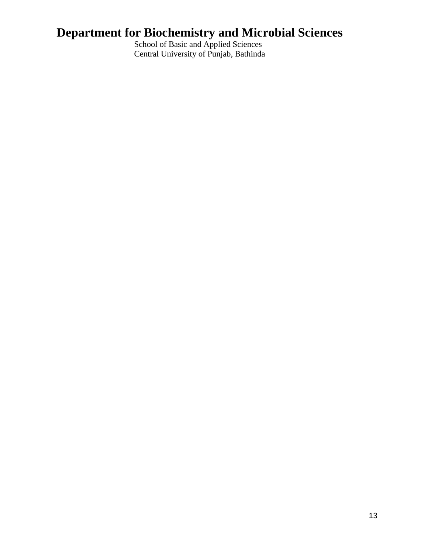School of Basic and Applied Sciences Central University of Punjab, Bathinda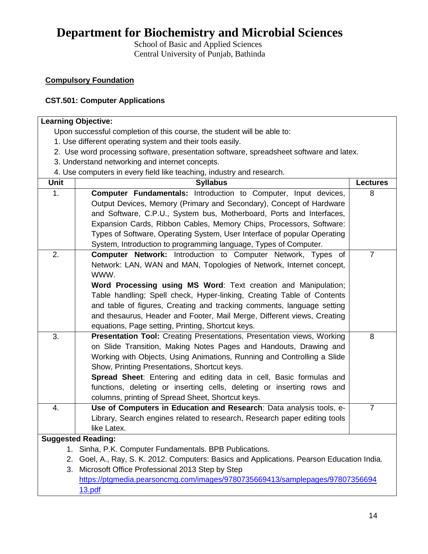School of Basic and Applied Sciences Central University of Punjab, Bathinda

### **Compulsory Foundation**

### **CST.501: Computer Applications**

#### **Learning Objective:**  Upon successful completion of this course, the student will be able to: 1. Use different operating system and their tools easily. 2. Use word processing software, presentation software, spreadsheet software and latex. 3. Understand networking and internet concepts. 4. Use computers in every field like teaching, industry and research. **Unit Syllabus Lectures** 1. **Computer Fundamentals:** Introduction to Computer, Input devices, Output Devices, Memory (Primary and Secondary), Concept of Hardware and Software, C.P.U., System bus, Motherboard, Ports and Interfaces, Expansion Cards, Ribbon Cables, Memory Chips, Processors, Software: Types of Software, Operating System, User Interface of popular Operating System, Introduction to programming language, Types of Computer. 8 2. **Computer Network:** Introduction to Computer Network, Types of Network: LAN, WAN and MAN, Topologies of Network, Internet concept, WWW. **Word Processing using MS Word**: Text creation and Manipulation; Table handling; Spell check, Hyper-linking, Creating Table of Contents and table of figures, Creating and tracking comments, language setting and thesaurus, Header and Footer, Mail Merge, Different views, Creating equations, Page setting, Printing, Shortcut keys. 7 3. **Presentation Tool:** Creating Presentations, Presentation views, Working on Slide Transition, Making Notes Pages and Handouts, Drawing and Working with Objects, Using Animations, Running and Controlling a Slide Show, Printing Presentations, Shortcut keys. **Spread Sheet**: Entering and editing data in cell, Basic formulas and functions, deleting or inserting cells, deleting or inserting rows and columns, printing of Spread Sheet, Shortcut keys. 8 4. **Use of Computers in Education and Research**: Data analysis tools, e-Library, Search engines related to research, Research paper editing tools like Latex. 7 **Suggested Reading:** 1. Sinha, P.K. Computer Fundamentals. BPB Publications. 2. Goel, A., Ray, S. K. 2012. Computers: Basics and Applications. Pearson Education India. 3. Microsoft Office Professional 2013 Step by Step [https://ptgmedia.pearsoncmg.com/images/9780735669413/samplepages/97807356694](https://ptgmedia.pearsoncmg.com/images/9780735669413/samplepages/97807356694%2013.pdf)  [13.pdf](https://ptgmedia.pearsoncmg.com/images/9780735669413/samplepages/97807356694%2013.pdf)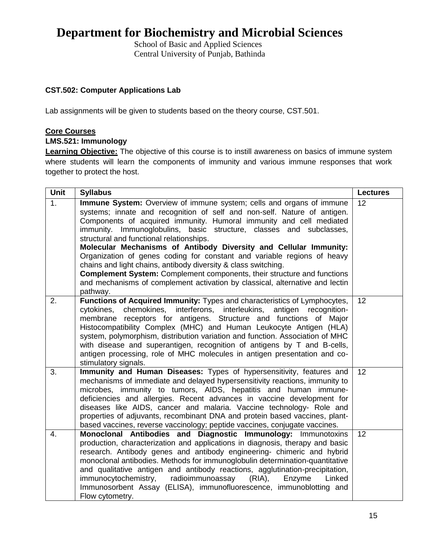School of Basic and Applied Sciences Central University of Punjab, Bathinda

### **CST.502: Computer Applications Lab**

Lab assignments will be given to students based on the theory course, CST.501.

#### **Core Courses**

#### **LMS.521: Immunology**

**Learning Objective:** The objective of this course is to instill awareness on basics of immune system where students will learn the components of immunity and various immune responses that work together to protect the host.

| Unit | <b>Syllabus</b>                                                                                                                                                                                                                                                                                                                                                                                                                                                                                                                                                                                                                                                                                                                            | <b>Lectures</b> |
|------|--------------------------------------------------------------------------------------------------------------------------------------------------------------------------------------------------------------------------------------------------------------------------------------------------------------------------------------------------------------------------------------------------------------------------------------------------------------------------------------------------------------------------------------------------------------------------------------------------------------------------------------------------------------------------------------------------------------------------------------------|-----------------|
| 1.   | Immune System: Overview of immune system; cells and organs of immune<br>systems; innate and recognition of self and non-self. Nature of antigen.<br>Components of acquired immunity. Humoral immunity and cell mediated<br>immunity. Immunoglobulins, basic structure, classes and subclasses,<br>structural and functional relationships.<br>Molecular Mechanisms of Antibody Diversity and Cellular Immunity:<br>Organization of genes coding for constant and variable regions of heavy<br>chains and light chains, antibody diversity & class switching.<br><b>Complement System:</b> Complement components, their structure and functions<br>and mechanisms of complement activation by classical, alternative and lectin<br>pathway. | 12              |
| 2.   | Functions of Acquired Immunity: Types and characteristics of Lymphocytes,<br>chemokines,<br>interferons, interleukins,<br>antigen recognition-<br>cytokines,<br>membrane receptors for antigens. Structure and functions of Major<br>Histocompatibility Complex (MHC) and Human Leukocyte Antigen (HLA)<br>system, polymorphism, distribution variation and function. Association of MHC<br>with disease and superantigen, recognition of antigens by T and B-cells,<br>antigen processing, role of MHC molecules in antigen presentation and co-<br>stimulatory signals.                                                                                                                                                                  | 12              |
| 3.   | Immunity and Human Diseases: Types of hypersensitivity, features and<br>mechanisms of immediate and delayed hypersensitivity reactions, immunity to<br>microbes, immunity to tumors, AIDS, hepatitis and human immune-<br>deficiencies and allergies. Recent advances in vaccine development for<br>diseases like AIDS, cancer and malaria. Vaccine technology- Role and<br>properties of adjuvants, recombinant DNA and protein based vaccines, plant-<br>based vaccines, reverse vaccinology; peptide vaccines, conjugate vaccines.                                                                                                                                                                                                      | 12              |
| 4.   | Monoclonal Antibodies and Diagnostic Immunology: Immunotoxins<br>production, characterization and applications in diagnosis, therapy and basic<br>research. Antibody genes and antibody engineering- chimeric and hybrid<br>monoclonal antibodies. Methods for immunoglobulin determination-quantitative<br>and qualitative antigen and antibody reactions, agglutination-precipitation,<br>immunocytochemistry,<br>radioimmunoassay<br>$(RIA)$ ,<br>Enzyme<br>Linked<br>Immunosorbent Assay (ELISA), immunofluorescence, immunoblotting and<br>Flow cytometry.                                                                                                                                                                            | 12              |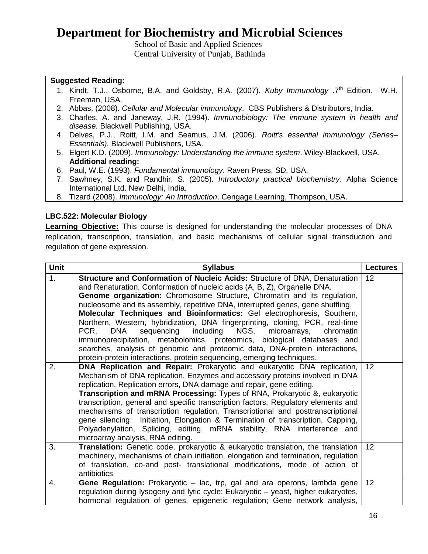School of Basic and Applied Sciences Central University of Punjab, Bathinda

### **Suggested Reading:**

- 1. Kindt, T.J., Osborne, B.A. and Goldsby, R.A. (2007). *Kuby Immunology* .7<sup>th</sup> Edition. W.H. Freeman, USA.
- 2. Abbas. (2008). *Cellular and Molecular immunology*. CBS Publishers & Distributors, India.
- 3. Charles, A. and Janeway, J.R. (1994). *Immunobiology: The immune system in health and disease.* Blackwell Publishing, USA.
- 4. Delves, P.J., Roitt, I.M. and Seamus, J.M. (2006). *Roitt's essential immunology (Series– Essentials).* Blackwell Publishers, USA.
- 5. Elgert K.D. (2009). *Immunology: Understanding the immune system*. Wiley-Blackwell, USA. **Additional reading:**
- 6. Paul, W.E. (1993). *Fundamental immunology.* Raven Press, SD, USA.
- 7. Sawhney, S.K. and Randhir, S. (2005). *Introductory practical biochemistry*. Alpha Science International Ltd. New Delhi, India.
- 8. Tizard (2008). *Immunology: An Introduction*. Cengage Learning, Thompson, USA.

#### **LBC.522: Molecular Biology**

**Learning Objective:** This course is designed for understanding the molecular processes of DNA replication, transcription, translation, and basic mechanisms of cellular signal transduction and regulation of gene expression.

| <b>Unit</b> | <b>Syllabus</b>                                                                                                                                                                                                                                                                                                                                                                                                                                                                                                                                                                                                                                                                                                                                                                                         | <b>Lectures</b> |
|-------------|---------------------------------------------------------------------------------------------------------------------------------------------------------------------------------------------------------------------------------------------------------------------------------------------------------------------------------------------------------------------------------------------------------------------------------------------------------------------------------------------------------------------------------------------------------------------------------------------------------------------------------------------------------------------------------------------------------------------------------------------------------------------------------------------------------|-----------------|
| 1.          | Structure and Conformation of Nucleic Acids: Structure of DNA, Denaturation<br>and Renaturation, Conformation of nucleic acids (A, B, Z), Organelle DNA.<br>Genome organization: Chromosome Structure, Chromatin and its regulation,<br>nucleosome and its assembly, repetitive DNA, interrupted genes, gene shuffling.<br>Molecular Techniques and Bioinformatics: Gel electrophoresis, Southern,<br>Northern, Western, hybridization, DNA fingerprinting, cloning, PCR, real-time<br>sequencing including NGS,<br><b>DNA</b><br>microarrays,<br>PCR.<br>chromatin<br>immunoprecipitation, metabolomics, proteomics, biological databases and<br>searches, analysis of genomic and proteomic data, DNA-protein interactions,<br>protein-protein interactions, protein sequencing, emerging techniques. | 12              |
| 2.          | DNA Replication and Repair: Prokaryotic and eukaryotic DNA replication,<br>Mechanism of DNA replication, Enzymes and accessory proteins involved in DNA<br>replication, Replication errors, DNA damage and repair, gene editing.<br><b>Transcription and mRNA Processing:</b> Types of RNA, Prokaryotic &, eukaryotic<br>transcription, general and specific transcription factors, Regulatory elements and<br>mechanisms of transcription regulation, Transcriptional and posttranscriptional<br>Initiation, Elongation & Termination of transcription, Capping,<br>gene silencing:<br>Polyadenylation, Splicing, editing, mRNA stability, RNA interference and<br>microarray analysis, RNA editing.                                                                                                   | 12              |
| 3.          | Translation: Genetic code, prokaryotic & eukaryotic translation, the translation<br>machinery, mechanisms of chain initiation, elongation and termination, regulation<br>of translation, co-and post- translational modifications, mode of action of<br>antibiotics                                                                                                                                                                                                                                                                                                                                                                                                                                                                                                                                     | 12              |
| 4.          | Gene Regulation: Prokaryotic - lac, trp, gal and ara operons, lambda gene<br>regulation during lysogeny and lytic cycle; Eukaryotic – yeast, higher eukaryotes,<br>hormonal regulation of genes, epigenetic regulation; Gene network analysis,                                                                                                                                                                                                                                                                                                                                                                                                                                                                                                                                                          | 12              |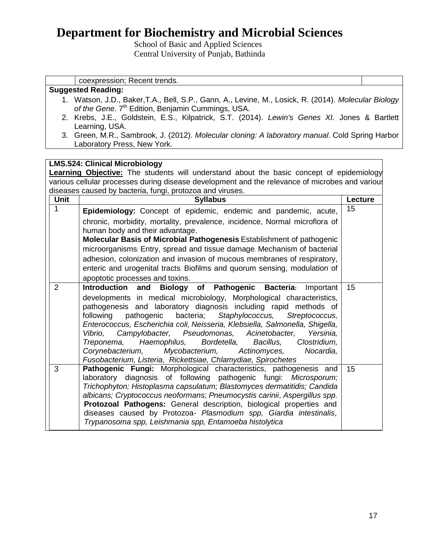School of Basic and Applied Sciences Central University of Punjab, Bathinda

coexpression; Recent trends.

|                | <b>Suggested Reading:</b>                                                                           |         |
|----------------|-----------------------------------------------------------------------------------------------------|---------|
|                | 1. Watson, J.D., Baker,T.A., Bell, S.P., Gann, A., Levine, M., Losick, R. (2014). Molecular Biology |         |
|                | of the Gene. 7 <sup>th</sup> Edition, Benjamin Cummings, USA.                                       |         |
|                | 2. Krebs, J.E., Goldstein, E.S., Kilpatrick, S.T. (2014). Lewin's Genes XI. Jones & Bartlett        |         |
|                | Learning, USA.                                                                                      |         |
|                | 3. Green, M.R., Sambrook, J. (2012). Molecular cloning: A laboratory manual. Cold Spring Harbor     |         |
|                | Laboratory Press, New York.                                                                         |         |
|                |                                                                                                     |         |
|                | <b>LMS.524: Clinical Microbiology</b>                                                               |         |
|                | <b>Learning Objective:</b> The students will understand about the basic concept of epidemiology     |         |
|                | various cellular processes during disease development and the relevance of microbes and various     |         |
|                | diseases caused by bacteria, fungi, protozoa and viruses.                                           |         |
| <b>Unit</b>    | <b>Syllabus</b>                                                                                     | Lecture |
| 1              | Epidemiology: Concept of epidemic, endemic and pandemic, acute,                                     | 15      |
|                | chronic, morbidity, mortality, prevalence, incidence, Normal microflora of                          |         |
|                | human body and their advantage.                                                                     |         |
|                | <b>Molecular Basis of Microbial Pathogenesis Establishment of pathogenic</b>                        |         |
|                | microorganisms: Entry, spread and tissue damage. Mechanism of bacterial                             |         |
|                | adhesion, colonization and invasion of mucous membranes of respiratory,                             |         |
|                | enteric and urogenital tracts. Biofilms and quorum sensing, modulation of                           |         |
|                | apoptotic processes and toxins.                                                                     |         |
| $\overline{2}$ | and Biology of Pathogenic<br><b>Bacteria:</b><br>Introduction<br>Important                          | 15      |
|                | developments in medical microbiology, Morphological characteristics,                                |         |
|                | pathogenesis and laboratory diagnosis including rapid methods of                                    |         |
|                | following<br>pathogenic<br>bacteria;<br>Staphylococcus,<br>Streptococcus,                           |         |
|                | Enterococcus, Escherichia coli, Neisseria, Klebsiella, Salmonella, Shigella,                        |         |
|                | Campylobacter, Pseudomonas,<br>Acinetobacter,<br>Vibrio,<br>Yersinia,                               |         |

*Treponema, Haemophilus, Bordetella, Bacillus, Clostridium, Corynebacterium, Mycobacterium, Actinomyces, Nocardia,* 

laboratory diagnosis of following pathogenic fungi: *Microsporum; Trichophyton; Histoplasma capsulatum; Blastomyces dermatitidis; Candida albicans; Cryptococcus neoformans; Pneumocystis carinii*, *Aspergillus spp.* **Protozoal Pathogens:** General description, biological properties and diseases caused by Protozoa- *Plasmodium spp, Giardia intestinalis*,

*Fusobacterium, Listeria, Rickettsiae, Chlamydiae, Spirochetes*

*Trypanosoma spp, Leishmania spp, Entamoeba histolytica*

3 **Pathogenic Fungi:** Morphological characteristics, pathogenesis and

15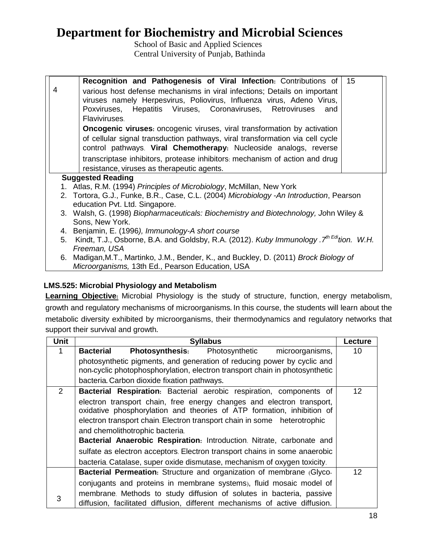School of Basic and Applied Sciences Central University of Punjab, Bathinda

|                          | Recognition and Pathogenesis of Viral Infection: Contributions of                             | 15 |
|--------------------------|-----------------------------------------------------------------------------------------------|----|
| 4                        | various host defense mechanisms in viral infections; Details on important                     |    |
|                          | viruses namely Herpesvirus, Poliovirus, Influenza virus, Adeno Virus,                         |    |
|                          | Poxviruses, Hepatitis Viruses, Coronaviruses, Retroviruses<br>and                             |    |
|                          | Flaviviruses.                                                                                 |    |
|                          | <b>Oncogenic viruses:</b> oncogenic viruses, viral transformation by activation               |    |
|                          | of cellular signal transduction pathways, viral transformation via cell cycle                 |    |
|                          | control pathways. Viral Chemotherapy: Nucleoside analogs, reverse                             |    |
|                          | transcriptase inhibitors, protease inhibitors: mechanism of action and drug                   |    |
|                          | resistance, viruses as therapeutic agents.                                                    |    |
| <b>Suggested Reading</b> |                                                                                               |    |
|                          | 1. Atlas, R.M. (1994) Principles of Microbiology, McMillan, New York                          |    |
|                          | 2. Tortora, G.J., Funke, B.R., Case, C.L. (2004) Microbiology -An Introduction, Pearson       |    |
|                          | education Pvt. Ltd. Singapore.                                                                |    |
|                          | 3. Walsh, G. (1998) Biopharmaceuticals: Biochemistry and Biotechnology, John Wiley &          |    |
|                          | Sons, New York.                                                                               |    |
| 4.                       | Benjamin, E. (1996), Immunology-A short course                                                |    |
| 5.                       | Kindt, T.J., Osborne, B.A. and Goldsby, R.A. (2012). Kuby Immunology . $7^{th}$ Edition. W.H. |    |
|                          | Freeman, USA                                                                                  |    |
|                          | 6. Madigan, M.T., Martinko, J.M., Bender, K., and Buckley, D. (2011) Brock Biology of         |    |
|                          | Microorganisms, 13th Ed., Pearson Education, USA                                              |    |

## **LMS.525: Microbial Physiology and Metabolism**

**Learning Objective:** Microbial Physiology is the study of structure, function, energy metabolism, growth and regulatory mechanisms of microorganisms**.** In this course, the students will learn about the metabolic diversity exhibited by microorganisms, their thermodynamics and regulatory networks that support their survival and growth**.**

| <b>Unit</b>           | <b>Syllabus</b>                                                                                                                                 | Lecture           |
|-----------------------|-------------------------------------------------------------------------------------------------------------------------------------------------|-------------------|
|                       | <b>Photosynthesis:</b><br><b>Bacterial</b><br>Photosynthetic<br>microorganisms,                                                                 | 10                |
|                       | photosynthetic pigments, and generation of reducing power by cyclic and                                                                         |                   |
|                       | non-cyclic photophosphorylation, electron transport chain in photosynthetic                                                                     |                   |
|                       | bacteria. Carbon dioxide fixation pathways.                                                                                                     |                   |
| $\mathbf{2}^{\prime}$ | Bacterial Respiration: Bacterial aerobic respiration, components of                                                                             | 12                |
|                       | electron transport chain, free energy changes and electron transport,<br>oxidative phosphorylation and theories of ATP formation, inhibition of |                   |
|                       | electron transport chain. Electron transport chain in some heterotrophic                                                                        |                   |
|                       | and chemolithotrophic bacteria.                                                                                                                 |                   |
|                       | Bacterial Anaerobic Respiration: Introduction. Nitrate, carbonate and                                                                           |                   |
|                       | sulfate as electron acceptors. Electron transport chains in some anaerobic                                                                      |                   |
|                       | bacteria. Catalase, super oxide dismutase, mechanism of oxygen toxicity.                                                                        |                   |
|                       | Bacterial Permeation: Structure and organization of membrane (Glyco-                                                                            | $12 \overline{ }$ |
|                       | conjugants and proteins in membrane systems), fluid mosaic model of                                                                             |                   |
| 3                     | membrane. Methods to study diffusion of solutes in bacteria, passive                                                                            |                   |
|                       | diffusion, facilitated diffusion, different mechanisms of active diffusion.                                                                     |                   |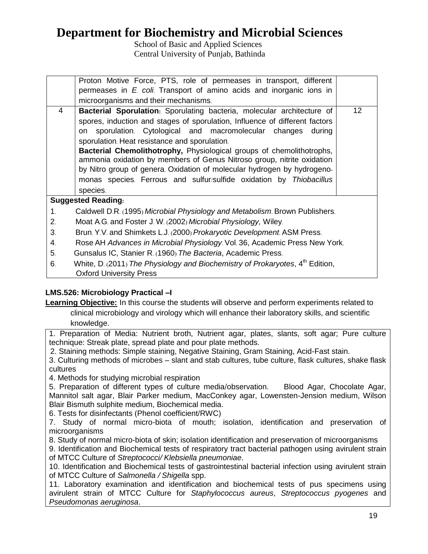School of Basic and Applied Sciences Central University of Punjab, Bathinda

|                | Proton Motive Force, PTS, role of permeases in transport, different                 |  |
|----------------|-------------------------------------------------------------------------------------|--|
|                | permeases in E coli. Transport of amino acids and inorganic ions in                 |  |
|                | microorganisms and their mechanisms.                                                |  |
| 4              | <b>Bacterial Sporulation:</b> Sporulating bacteria, molecular architecture of<br>12 |  |
|                | spores, induction and stages of sporulation, Influence of different factors         |  |
|                | sporulation. Cytological and macromolecular changes<br>during<br>on                 |  |
|                | sporulation. Heat resistance and sporulation.                                       |  |
|                | Bacterial Chemolithotrophy, Physiological groups of chemolithotrophs,               |  |
|                | ammonia oxidation by members of Genus Nitroso group, nitrite oxidation              |  |
|                | by Nitro group of genera. Oxidation of molecular hydrogen by hydrogeno-             |  |
|                | monas species. Ferrous and sulfur/sulfide oxidation by Thiobacillus                 |  |
|                | species.                                                                            |  |
|                | <b>Suggested Reading:</b>                                                           |  |
| $\mathbf 1$ .  | Caldwell D.R. (1995) Microbial Physiology and Metabolism. Brown Publishers.         |  |
| 2.             | Moat A.G. and Foster J. W. (2002) Microbial Physiology, Wiley.                      |  |
| 3 <sub>l</sub> | Brun. Y.V. and Shimkets L.J. (2000) Prokaryotic Development. ASM Press.             |  |
| 4.             | Rose AH Advances in Microbial Physiology Vol. 36, Academic Press New York.          |  |
| 5 <sub>1</sub> | Gunsalus IC, Stanier R. (1960) The Bacteria, Academic Press.                        |  |
| ĥ              | White $D_1$ 2011) The Physiology and Biochemistry of Prokaryotes $A^{th}$ Edition   |  |

6. White, D. (2011) *The Physiology and Biochemistry of Prokaryotes*, 4th Oxford University Press

## **LMS.526: Microbiology Practical –I**

**Learning Objective:** In this course the students will observe and perform experiments related to clinical microbiology and virology which will enhance their laboratory skills, and scientific knowledge.

1. Preparation of Media: Nutrient broth, Nutrient agar, plates, slants, soft agar; Pure culture technique: Streak plate, spread plate and pour plate methods.

2. Staining methods: Simple staining, Negative Staining, Gram Staining, Acid-Fast stain.

3. Culturing methods of microbes – slant and stab cultures, tube culture, flask cultures, shake flask cultures

4. Methods for studying microbial respiration

5. Preparation of different types of culture media/observation. Blood Agar, Chocolate Agar, Mannitol salt agar, Blair Parker medium, MacConkey agar, Lowensten-Jension medium, Wilson Blair Bismuth sulphite medium, Biochemical media.

6. Tests for disinfectants (Phenol coefficient/RWC)

7. Study of normal micro-biota of mouth; isolation, identification and preservation of microorganisms

8. Study of normal micro-biota of skin; isolation identification and preservation of microorganisms

9. Identification and Biochemical tests of respiratory tract bacterial pathogen using avirulent strain of MTCC Culture of *Streptococci/ Klebsiella pneumoniae*.

10. Identification and Biochemical tests of gastrointestinal bacterial infection using avirulent strain of MTCC Culture of *Salmonella / Shigella* spp.

11. Laboratory examination and identification and biochemical tests of pus specimens using avirulent strain of MTCC Culture for *Staphylococcus aureus*, *Streptococcus pyogenes* and *Pseudomonas aeruginosa*.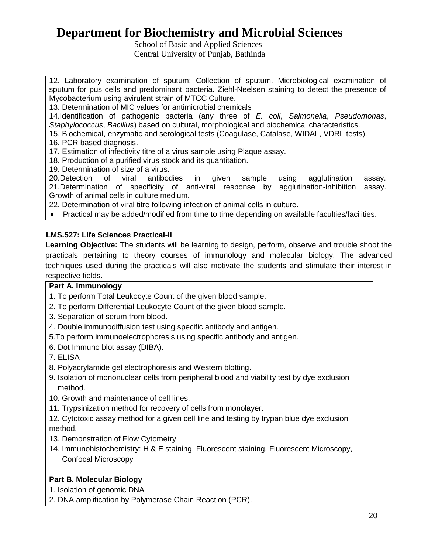School of Basic and Applied Sciences Central University of Punjab, Bathinda

12. Laboratory examination of sputum: Collection of sputum. Microbiological examination of sputum for pus cells and predominant bacteria. Ziehl-Neelsen staining to detect the presence of Mycobacterium using avirulent strain of MTCC Culture.

13. Determination of MIC values for antimicrobial chemicals

14.Identification of pathogenic bacteria (any three of *E. coli*, *Salmonella*, *Pseudomonas*, *Staphylococcus*, *Bacillus*) based on cultural, morphological and biochemical characteristics.

15. Biochemical, enzymatic and serological tests (Coagulase, Catalase, WIDAL, VDRL tests).

16. PCR based diagnosis.

17. Estimation of infectivity titre of a virus sample using Plaque assay.

18. Production of a purified virus stock and its quantitation.

19. Determination of size of a virus.<br>20. Detection of viral antibodies

20.Detection of viral antibodies in given sample using agglutination assay. 21.Determination of specificity of anti-viral response by agglutination-inhibition assay. Growth of animal cells in culture medium.

22. Determination of viral titre following infection of animal cells in culture.

Practical may be added/modified from time to time depending on available faculties/facilities.

### **LMS.527: Life Sciences Practical-II**

**Learning Objective:** The students will be learning to design, perform, observe and trouble shoot the practicals pertaining to theory courses of immunology and molecular biology. The advanced techniques used during the practicals will also motivate the students and stimulate their interest in respective fields.

## **Part A. Immunology**

- 1. To perform Total Leukocyte Count of the given blood sample.
- 2. To perform Differential Leukocyte Count of the given blood sample.
- 3. Separation of serum from blood.
- 4. Double immunodiffusion test using specific antibody and antigen.
- 5.To perform immunoelectrophoresis using specific antibody and antigen.
- 6. Dot Immuno blot assay (DIBA).
- 7. ELISA
- 8. Polyacrylamide gel electrophoresis and Western blotting.
- 9. Isolation of mononuclear cells from peripheral blood and viability test by dye exclusion method.
- 10. Growth and maintenance of cell lines.
- 11. Trypsinization method for recovery of cells from monolayer.

12. Cytotoxic assay method for a given cell line and testing by trypan blue dye exclusion method.

- 13. Demonstration of Flow Cytometry.
- 14. Immunohistochemistry: H & E staining, Fluorescent staining, Fluorescent Microscopy, Confocal Microscopy

## **Part B. Molecular Biology**

1. Isolation of genomic DNA

2. DNA amplification by Polymerase Chain Reaction (PCR).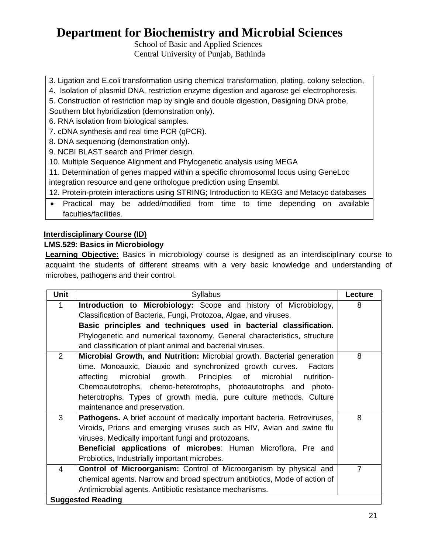School of Basic and Applied Sciences Central University of Punjab, Bathinda

- 3. Ligation and E.coli transformation using chemical transformation, plating, colony selection,
- 4. Isolation of plasmid DNA, restriction enzyme digestion and agarose gel electrophoresis.
- 5. Construction of restriction map by single and double digestion, Designing DNA probe,
- Southern blot hybridization (demonstration only).
- 6. RNA isolation from biological samples.
- 7. cDNA synthesis and real time PCR (qPCR).
- 8. DNA sequencing (demonstration only).
- 9. NCBI BLAST search and Primer design.
- 10. Multiple Sequence Alignment and Phylogenetic analysis using MEGA
- 11. Determination of genes mapped within a specific chromosomal locus using GeneLoc
- integration resource and gene orthologue prediction using Ensembl.
- 12. Protein-protein interactions using STRING; Introduction to KEGG and Metacyc databases
- Practical may be added/modified from time to time depending on available faculties/facilities.

### **Interdisciplinary Course (ID)**

### **LMS.529: Basics in Microbiology**

**Learning Objective:** Basics in microbiology course is designed as an interdisciplinary course to acquaint the students of different streams with a very basic knowledge and understanding of microbes, pathogens and their control.

| <b>Unit</b>    | <b>Syllabus</b>                                                                  | Lecture        |
|----------------|----------------------------------------------------------------------------------|----------------|
| 1              | Introduction to Microbiology: Scope and history of Microbiology,                 | 8              |
|                | Classification of Bacteria, Fungi, Protozoa, Algae, and viruses.                 |                |
|                | Basic principles and techniques used in bacterial classification.                |                |
|                | Phylogenetic and numerical taxonomy. General characteristics, structure          |                |
|                | and classification of plant animal and bacterial viruses.                        |                |
| $\overline{2}$ | Microbial Growth, and Nutrition: Microbial growth. Bacterial generation          | 8              |
|                | time. Monoauxic, Diauxic and synchronized growth curves. Factors                 |                |
|                | microbial<br>growth. Principles of microbial<br>affecting<br>nutrition-          |                |
|                | Chemoautotrophs, chemo-heterotrophs, photoautotrophs and photo-                  |                |
|                | heterotrophs. Types of growth media, pure culture methods. Culture               |                |
|                | maintenance and preservation.                                                    |                |
| 3              | <b>Pathogens.</b> A brief account of medically important bacteria. Retroviruses, | 8              |
|                | Viroids, Prions and emerging viruses such as HIV, Avian and swine flu            |                |
|                | viruses. Medically important fungi and protozoans.                               |                |
|                | <b>Beneficial applications of microbes:</b> Human Microflora, Pre and            |                |
|                | Probiotics, Industrially important microbes.                                     |                |
| 4              | Control of Microorganism: Control of Microorganism by physical and               | $\overline{7}$ |
|                | chemical agents. Narrow and broad spectrum antibiotics, Mode of action of        |                |
|                | Antimicrobial agents. Antibiotic resistance mechanisms.                          |                |
|                | <b>Suggested Reading</b>                                                         |                |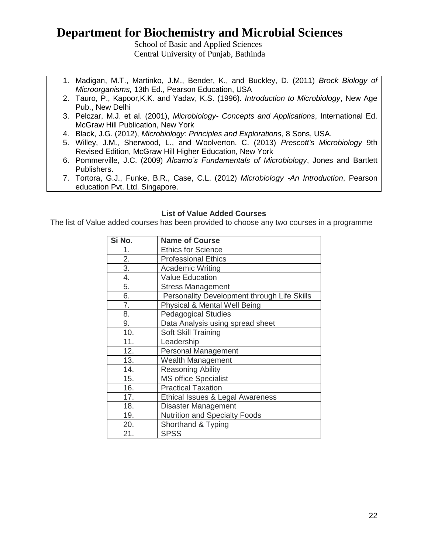School of Basic and Applied Sciences Central University of Punjab, Bathinda

- 1. Madigan, M.T., Martinko, J.M., Bender, K., and Buckley, D. (2011) *Brock Biology of Microorganisms,* 13th Ed., Pearson Education, USA
- 2. Tauro, P., Kapoor,K.K. and Yadav, K.S. (1996). *Introduction to Microbiology*, New Age Pub., New Delhi
- 3. Pelczar, M.J. et al. (2001), *Microbiology- Concepts and Applications*, International Ed. McGraw Hill Publication, New York
- 4. Black, J.G. (2012), *Microbiology: Principles and Explorations*, 8 Sons, USA.
- 5. Willey, J.M., Sherwood, L., and Woolverton, C. (2013) *Prescott's Microbiology* 9th Revised Edition, McGraw Hill Higher Education, New York
- 6. Pommerville, J.C. (2009) *Alcamo's Fundamentals of Microbiology*, Jones and Bartlett Publishers.
- 7. Tortora, G.J., Funke, B.R., Case, C.L. (2012) *Microbiology -An Introduction*, Pearson education Pvt. Ltd. Singapore.

#### **List of Value Added Courses**

The list of Value added courses has been provided to choose any two courses in a programme

| Si No.           | <b>Name of Course</b>                       |
|------------------|---------------------------------------------|
| 1.               | <b>Ethics for Science</b>                   |
| $\overline{2}$ . | <b>Professional Ethics</b>                  |
| $\overline{3}$ . | <b>Academic Writing</b>                     |
| 4.               | <b>Value Education</b>                      |
| 5.               | <b>Stress Management</b>                    |
| 6.               | Personality Development through Life Skills |
| 7.               | Physical & Mental Well Being                |
| 8.               | <b>Pedagogical Studies</b>                  |
| 9.               | Data Analysis using spread sheet            |
| 10.              | Soft Skill Training                         |
| 11.              | Leadership                                  |
| 12.              | <b>Personal Management</b>                  |
| 13.              | Wealth Management                           |
| 14.              | <b>Reasoning Ability</b>                    |
| 15.              | <b>MS office Specialist</b>                 |
| 16.              | <b>Practical Taxation</b>                   |
| 17.              | Ethical Issues & Legal Awareness            |
| 18.              | Disaster Management                         |
| 19.              | <b>Nutrition and Specialty Foods</b>        |
| 20.              | Shorthand & Typing                          |
| 21.              | <b>SPSS</b>                                 |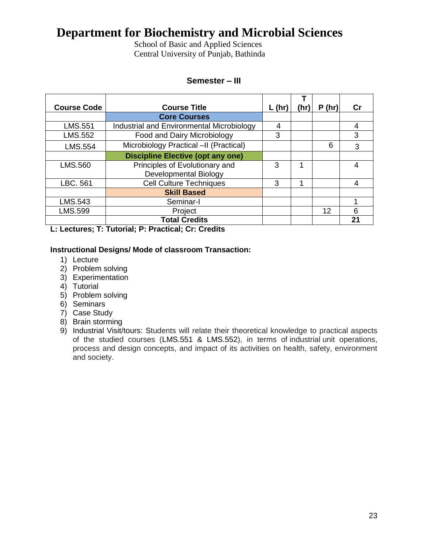School of Basic and Applied Sciences Central University of Punjab, Bathinda

#### **Semester – III**

| <b>Course Code</b> | <b>Course Title</b>                       | $L$ (hr) | (hr) | P(hr) | Сr             |
|--------------------|-------------------------------------------|----------|------|-------|----------------|
|                    | <b>Core Courses</b>                       |          |      |       |                |
| LMS.551            | Industrial and Environmental Microbiology | 4        |      |       | 4              |
| LMS.552            | Food and Dairy Microbiology               | 3        |      |       | 3              |
| <b>LMS.554</b>     | Microbiology Practical -II (Practical)    |          |      | 6     | 3              |
|                    | <b>Discipline Elective (opt any one)</b>  |          |      |       |                |
| LMS.560            | Principles of Evolutionary and            | 3        |      |       |                |
|                    | Developmental Biology                     |          |      |       |                |
| LBC. 561           | <b>Cell Culture Techniques</b>            | 3        |      |       |                |
|                    | <b>Skill Based</b>                        |          |      |       |                |
| LMS.543            | Seminar-I                                 |          |      |       |                |
| LMS.599            | Project                                   |          |      | 12    | 6              |
|                    | <b>Total Credits</b>                      |          |      |       | 2 <sup>1</sup> |

**L: Lectures; T: Tutorial; P: Practical; Cr: Credits**

#### **Instructional Designs/ Mode of classroom Transaction:**

- 1) Lecture
- 2) Problem solving
- 3) Experimentation
- 4) Tutorial
- 5) Problem solving
- 6) Seminars
- 7) Case Study
- 8) Brain storming
- 9) Industrial Visit/tours: Students will relate their theoretical knowledge to practical aspects of the studied courses (LMS.551 & LMS.552), in terms of industrial unit operations, process and design concepts, and impact of its activities on health, safety, environment and society.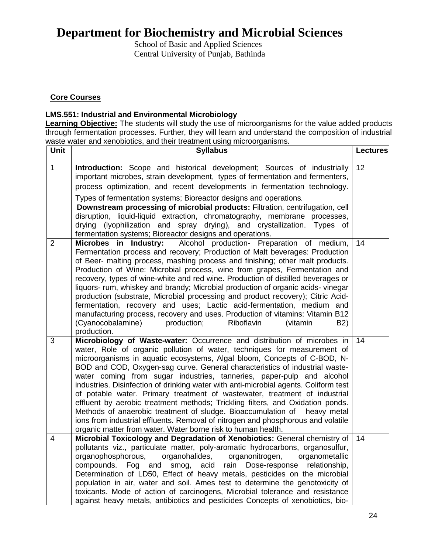School of Basic and Applied Sciences Central University of Punjab, Bathinda

### **Core Courses**

#### **LMS.551: Industrial and Environmental Microbiology**

**Learning Objective:** The students will study the use of microorganisms for the value added products through fermentation processes. Further, they will learn and understand the composition of industrial waste water and xenobiotics, and their treatment using microorganisms.

| <b>Unit</b>    | <b>Syllabus</b>                                                                                                                                                                                                                                                                                                                                                                                                                                                                                                                                                                                                                                                                                                                                                                                                                                                                 | <b>Lectures</b> |
|----------------|---------------------------------------------------------------------------------------------------------------------------------------------------------------------------------------------------------------------------------------------------------------------------------------------------------------------------------------------------------------------------------------------------------------------------------------------------------------------------------------------------------------------------------------------------------------------------------------------------------------------------------------------------------------------------------------------------------------------------------------------------------------------------------------------------------------------------------------------------------------------------------|-----------------|
| $\mathbf{1}$   | Introduction: Scope and historical development; Sources of industrially<br>important microbes, strain development, types of fermentation and fermenters,<br>process optimization, and recent developments in fermentation technology.                                                                                                                                                                                                                                                                                                                                                                                                                                                                                                                                                                                                                                           | 12              |
|                | Types of fermentation systems; Bioreactor designs and operations.<br>Downstream processing of microbial products: Filtration, centrifugation, cell<br>disruption, liquid-liquid extraction, chromatography, membrane processes,<br>drying (lyophilization and spray drying), and crystallization. Types of<br>fermentation systems; Bioreactor designs and operations.                                                                                                                                                                                                                                                                                                                                                                                                                                                                                                          |                 |
| $\overline{2}$ | Microbes in Industry:<br>Alcohol production- Preparation of medium,<br>Fermentation process and recovery; Production of Malt beverages: Production<br>of Beer- malting process, mashing process and finishing; other malt products.<br>Production of Wine: Microbial process, wine from grapes, Fermentation and<br>recovery, types of wine-white and red wine. Production of distilled beverages or<br>liquors- rum, whiskey and brandy; Microbial production of organic acids-vinegar<br>production (substrate, Microbial processing and product recovery); Citric Acid-<br>fermentation, recovery and uses; Lactic acid-fermentation, medium and<br>manufacturing process, recovery and uses. Production of vitamins: Vitamin B12<br>(Cyanocobalamine)<br>production;<br>Riboflavin<br>(vitamin<br>B <sub>2</sub> )<br>production.                                           | 14              |
| 3              | Microbiology of Waste-water: Occurrence and distribution of microbes in<br>water, Role of organic pollution of water, techniques for measurement of<br>microorganisms in aquatic ecosystems, Algal bloom, Concepts of C-BOD, N-<br>BOD and COD, Oxygen-sag curve. General characteristics of industrial waste-<br>water coming from sugar industries, tanneries, paper-pulp and alcohol<br>industries. Disinfection of drinking water with anti-microbial agents. Coliform test<br>of potable water. Primary treatment of wastewater, treatment of industrial<br>effluent by aerobic treatment methods; Trickling filters, and Oxidation ponds.<br>Methods of anaerobic treatment of sludge. Bioaccumulation of heavy metal<br>ions from industrial effluents. Removal of nitrogen and phosphorous and volatile<br>organic matter from water. Water borne risk to human health. | 14              |
| $\overline{4}$ | Microbial Toxicology and Degradation of Xenobiotics: General chemistry of<br>pollutants viz., particulate matter, poly-aromatic hydrocarbons, organosulfur,<br>organophosphorous,<br>organohalides,<br>organonitrogen,<br>organometallic<br>rain<br>compounds.<br>Fog<br>and smog, acid<br>Dose-response<br>relationship,<br>Determination of LD50, Effect of heavy metals, pesticides on the microbial<br>population in air, water and soil. Ames test to determine the genotoxicity of<br>toxicants. Mode of action of carcinogens, Microbial tolerance and resistance<br>against heavy metals, antibiotics and pesticides Concepts of xenobiotics, bio-                                                                                                                                                                                                                      | 14              |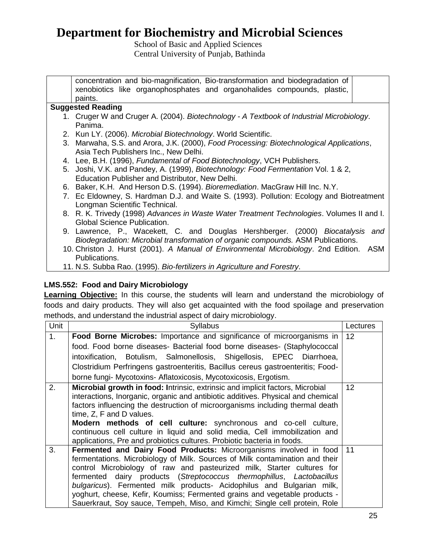School of Basic and Applied Sciences Central University of Punjab, Bathinda

concentration and bio-magnification, Bio-transformation and biodegradation of xenobiotics like organophosphates and organohalides compounds, plastic, paints. **Suggested Reading** 1. Cruger W and Cruger A. (2004). *Biotechnology - A Textbook of Industrial Microbiology*. Panima. 2. Kun LY. (2006). *Microbial Biotechnology*. World Scientific. 3. Marwaha, S.S. and Arora, J.K. (2000), *Food Processing: Biotechnological Applications*, Asia Tech Publishers Inc., New Delhi. 4. Lee, B.H. (1996), *Fundamental of Food Biotechnology*, VCH Publishers. 5. Joshi, V.K. and Pandey, A. (1999), *Biotechnology: Food Fermentation* Vol. 1 & 2, Education Publisher and Distributor, New Delhi. 6. Baker, K.H. And Herson D.S. (1994). *Bioremediation*. MacGraw Hill Inc. N.Y. 7. Ec Eldowney, S. Hardman D.J. and Waite S. (1993). Pollution: Ecology and Biotreatment Longman Scientific Technical. 8. R. K. Trivedy (1998) *Advances in Waste Water Treatment Technologies*. Volumes II and I. Global Science Publication. 9. Lawrence, P., Wacekett, C. and Douglas Hershberger. (2000) *Biocatalysis and Biodegradation: Microbial transformation of organic compounds.* ASM Publications. 10. Christon J. Hurst (2001). *A Manual of Environmental Microbiology*. 2nd Edition. ASM Publications. 11. N.S. Subba Rao. (1995). *Bio-fertilizers in Agriculture and Forestry*.

## **LMS.552: Food and Dairy Microbiology**

**Learning Objective:** In this course, the students will learn and understand the microbiology of foods and dairy products. They will also get acquainted with the food spoilage and preservation methods, and understand the industrial aspect of dairy microbiology.

| Unit | Syllabus                                                                                                                                                                                                                                                                                                                                                                                                                                                                                                                                  | Lectures        |
|------|-------------------------------------------------------------------------------------------------------------------------------------------------------------------------------------------------------------------------------------------------------------------------------------------------------------------------------------------------------------------------------------------------------------------------------------------------------------------------------------------------------------------------------------------|-----------------|
| 1.   | Food Borne Microbes: Importance and significance of microorganisms in                                                                                                                                                                                                                                                                                                                                                                                                                                                                     | 12              |
|      | food. Food borne diseases- Bacterial food borne diseases- (Staphylococcal                                                                                                                                                                                                                                                                                                                                                                                                                                                                 |                 |
|      | intoxification, Botulism, Salmonellosis, Shigellosis, EPEC Diarrhoea,                                                                                                                                                                                                                                                                                                                                                                                                                                                                     |                 |
|      | Clostridium Perfringens gastroenteritis, Bacillus cereus gastroenteritis; Food-                                                                                                                                                                                                                                                                                                                                                                                                                                                           |                 |
|      | borne fungi- Mycotoxins- Aflatoxicosis, Mycotoxicosis, Ergotism.                                                                                                                                                                                                                                                                                                                                                                                                                                                                          |                 |
| 2.   | Microbial growth in food: Intrinsic, extrinsic and implicit factors, Microbial<br>interactions, Inorganic, organic and antibiotic additives. Physical and chemical<br>factors influencing the destruction of microorganisms including thermal death<br>time, Z, F and D values.<br><b>Modern methods of cell culture:</b> synchronous and co-cell culture,                                                                                                                                                                                | 12 <sub>2</sub> |
|      | continuous cell culture in liquid and solid media, Cell immobilization and<br>applications, Pre and probiotics cultures. Probiotic bacteria in foods.                                                                                                                                                                                                                                                                                                                                                                                     |                 |
| 3.   | Fermented and Dairy Food Products: Microorganisms involved in food<br>fermentations. Microbiology of Milk. Sources of Milk contamination and their<br>control Microbiology of raw and pasteurized milk, Starter cultures for<br>fermented dairy products (Streptococcus thermophillus, Lactobacillus<br>bulgaricus). Fermented milk products- Acidophilus and Bulgarian milk,<br>yoghurt, cheese, Kefir, Koumiss; Fermented grains and vegetable products -<br>Sauerkraut, Soy sauce, Tempeh, Miso, and Kimchi; Single cell protein, Role | 11              |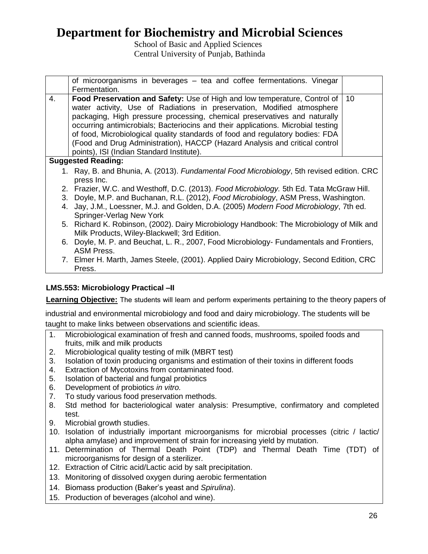School of Basic and Applied Sciences Central University of Punjab, Bathinda

|    | of microorganisms in beverages – tea and coffee fermentations. Vinegar<br>Fermentation.                                                                                                                                                                                                                                                                                                                                                                                                                                           |    |
|----|-----------------------------------------------------------------------------------------------------------------------------------------------------------------------------------------------------------------------------------------------------------------------------------------------------------------------------------------------------------------------------------------------------------------------------------------------------------------------------------------------------------------------------------|----|
| 4. | Food Preservation and Safety: Use of High and low temperature, Control of<br>water activity, Use of Radiations in preservation, Modified atmosphere<br>packaging, High pressure processing, chemical preservatives and naturally<br>occurring antimicrobials; Bacteriocins and their applications. Microbial testing<br>of food, Microbiological quality standards of food and regulatory bodies: FDA<br>(Food and Drug Administration), HACCP (Hazard Analysis and critical control<br>points), ISI (Indian Standard Institute). | 10 |
|    | <b>Suggested Reading:</b>                                                                                                                                                                                                                                                                                                                                                                                                                                                                                                         |    |
|    | 1. Ray, B. and Bhunia, A. (2013). Fundamental Food Microbiology, 5th revised edition. CRC<br>press Inc.                                                                                                                                                                                                                                                                                                                                                                                                                           |    |
|    | 2. Frazier, W.C. and Westhoff, D.C. (2013). Food Microbiology. 5th Ed. Tata McGraw Hill.<br>3. Doyle, M.P. and Buchanan, R.L. (2012), Food Microbiology, ASM Press, Washington.<br>4. Jay, J.M., Loessner, M.J. and Golden, D.A. (2005) Modern Food Microbiology, 7th ed.<br>Springer-Verlag New York                                                                                                                                                                                                                             |    |
|    | 5. Richard K. Robinson, (2002). Dairy Microbiology Handbook: The Microbiology of Milk and<br>Milk Products, Wiley-Blackwell; 3rd Edition.                                                                                                                                                                                                                                                                                                                                                                                         |    |
|    | 6. Doyle, M. P. and Beuchat, L. R., 2007, Food Microbiology- Fundamentals and Frontiers,<br><b>ASM Press.</b>                                                                                                                                                                                                                                                                                                                                                                                                                     |    |

7. Elmer H. Marth, James Steele, (2001). Applied Dairy Microbiology, Second Edition, CRC Press.

## **LMS.553: Microbiology Practical –II**

 **Learning Objective:** The students will learn and perform experiments pertaining to the theory papers of

industrial and environmental microbiology and food and dairy microbiology. The students will be taught to make links between observations and scientific ideas.

- 1. Microbiological examination of fresh and canned foods, mushrooms, spoiled foods and fruits, milk and milk products
- 2. Microbiological quality testing of milk (MBRT test)
- 3. Isolation of toxin producing organisms and estimation of their toxins in different foods
- 4. Extraction of Mycotoxins from contaminated food.
- 5. Isolation of bacterial and fungal probiotics
- 6. Development of probiotics *in vitro.*
- 7. To study various food preservation methods.
- 8. Std method for bacteriological water analysis: Presumptive, confirmatory and completed test.
- 9. Microbial growth studies.
- 10. Isolation of industrially important microorganisms for microbial processes (citric / lactic/ alpha amylase) and improvement of strain for increasing yield by mutation.
- 11. Determination of Thermal Death Point (TDP) and Thermal Death Time (TDT) of microorganisms for design of a sterilizer.
- 12. Extraction of Citric acid/Lactic acid by salt precipitation.
- 13. Monitoring of dissolved oxygen during aerobic fermentation
- 14. Biomass production (Baker's yeast and *Spirulina*).
- 15. Production of beverages (alcohol and wine).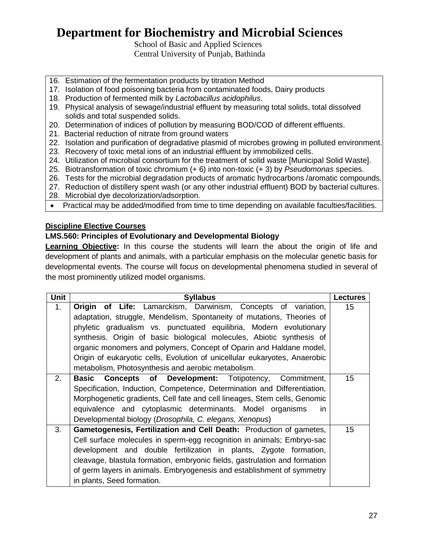School of Basic and Applied Sciences Central University of Punjab, Bathinda

- 16. Estimation of the fermentation products by titration Method
- 17. Isolation of food poisoning bacteria from contaminated foods, Dairy products
- 18. Production of fermented milk by *Lactobacillus acidophilus*.
- 19. Physical analysis of sewage/industrial effluent by measuring total solids, total dissolved solids and total suspended solids.
- 20. Determination of indices of pollution by measuring BOD/COD of different effluents.
- 21. Bacterial reduction of nitrate from ground waters
- 22. Isolation and purification of degradative plasmid of microbes growing in polluted environment.
- 23. Recovery of toxic metal ions of an industrial effluent by immobilized cells.
- 24. Utilization of microbial consortium for the treatment of solid waste [Municipal Solid Waste].
- 25. Biotransformation of toxic chromium (+ 6) into non-toxic (+ 3) by *Pseudomonas* species.
- 26. Tests for the microbial degradation products of aromatic hydrocarbons /aromatic compounds.
- 27. Reduction of distillery spent wash (or any other industrial effluent) BOD by bacterial cultures.
- 28. Microbial dye decolorization/adsorption.
- Practical may be added/modified from time to time depending on available faculties/facilities.

#### **Discipline Elective Courses**

#### **LMS.560: Principles of Evolutionary and Developmental Biology**

**Learning Objective:** In this course the students will learn the about the origin of life and development of plants and animals, with a particular emphasis on the molecular genetic basis for developmental events. The course will focus on developmental phenomena studied in several of the most prominently utilized model organisms.

| <b>Unit</b> | <b>Syllabus</b>                                                            | <b>Lectures</b> |
|-------------|----------------------------------------------------------------------------|-----------------|
| 1.          | <b>Origin of Life:</b> Lamarckism, Darwinism, Concepts of variation,       | 15              |
|             | adaptation, struggle, Mendelism, Spontaneity of mutations, Theories of     |                 |
|             | phyletic gradualism vs. punctuated equilibria, Modern evolutionary         |                 |
|             | synthesis. Origin of basic biological molecules, Abiotic synthesis of      |                 |
|             | organic monomers and polymers, Concept of Oparin and Haldane model,        |                 |
|             | Origin of eukaryotic cells, Evolution of unicellular eukaryotes, Anaerobic |                 |
|             | metabolism, Photosynthesis and aerobic metabolism.                         |                 |
| 2.          | <b>Concepts of Development:</b> Totipotency, Commitment,<br>Basic          | 15              |
|             | Specification, Induction, Competence, Determination and Differentiation,   |                 |
|             | Morphogenetic gradients, Cell fate and cell lineages, Stem cells, Genomic  |                 |
|             | equivalence and cytoplasmic determinants. Model organisms<br>in.           |                 |
|             | Developmental biology (Drosophila, C. elegans, Xenopus)                    |                 |
| 3.          | Gametogenesis, Fertilization and Cell Death: Production of gametes,        | 15              |
|             | Cell surface molecules in sperm-egg recognition in animals; Embryo-sac     |                 |
|             | development and double fertilization in plants, Zygote formation,          |                 |
|             | cleavage, blastula formation, embryonic fields, gastrulation and formation |                 |
|             | of germ layers in animals. Embryogenesis and establishment of symmetry     |                 |
|             | in plants, Seed formation.                                                 |                 |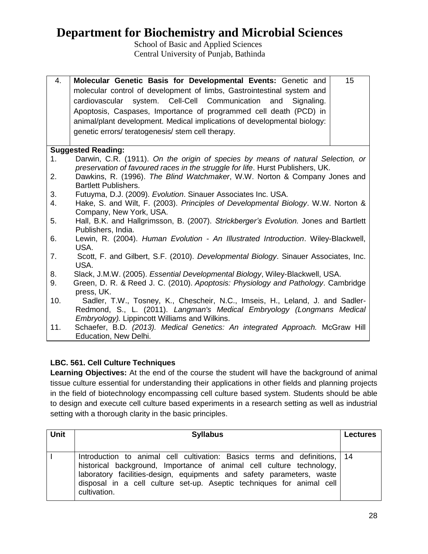School of Basic and Applied Sciences Central University of Punjab, Bathinda

| 4.  | Molecular Genetic Basis for Developmental Events: Genetic and                             | 15 |
|-----|-------------------------------------------------------------------------------------------|----|
|     | molecular control of development of limbs, Gastrointestinal system and                    |    |
|     | cardiovascular system. Cell-Cell Communication and<br>Signaling.                          |    |
|     | Apoptosis, Caspases, Importance of programmed cell death (PCD) in                         |    |
|     | animal/plant development. Medical implications of developmental biology:                  |    |
|     | genetic errors/ teratogenesis/ stem cell therapy.                                         |    |
|     |                                                                                           |    |
|     | <b>Suggested Reading:</b>                                                                 |    |
| 1.  | Darwin, C.R. (1911). On the origin of species by means of natural Selection, or           |    |
|     | preservation of favoured races in the struggle for life. Hurst Publishers, UK.            |    |
| 2.  | Dawkins, R. (1996). The Blind Watchmaker, W.W. Norton & Company Jones and                 |    |
|     | <b>Bartlett Publishers.</b>                                                               |    |
| 3.  | Futuyma, D.J. (2009). Evolution. Sinauer Associates Inc. USA.                             |    |
| 4.  | Hake, S. and Wilt, F. (2003). Principles of Developmental Biology. W.W. Norton &          |    |
|     | Company, New York, USA.                                                                   |    |
| 5.  | Hall, B.K. and Hallgrimsson, B. (2007). Strickberger's Evolution. Jones and Bartlett      |    |
|     | Publishers, India.                                                                        |    |
| 6.  | Lewin, R. (2004). Human Evolution - An Illustrated Introduction. Wiley-Blackwell,<br>USA. |    |
| 7.  | Scott, F. and Gilbert, S.F. (2010). Developmental Biology. Sinauer Associates, Inc.       |    |
|     | USA.                                                                                      |    |
| 8.  | Slack, J.M.W. (2005). Essential Developmental Biology, Wiley-Blackwell, USA.              |    |
| 9.  | Green, D. R. & Reed J. C. (2010). Apoptosis: Physiology and Pathology. Cambridge          |    |
|     | press, UK.                                                                                |    |
| 10. | Sadler, T.W., Tosney, K., Chescheir, N.C., Imseis, H., Leland, J. and Sadler-             |    |
|     | Redmond, S., L. (2011). Langman's Medical Embryology (Longmans Medical                    |    |
|     | Embryology). Lippincott Williams and Wilkins.                                             |    |
| 11. | Schaefer, B.D. (2013). Medical Genetics: An integrated Approach. McGraw Hill              |    |

## **LBC. 561. Cell Culture Techniques**

Education, New Delhi.

**Learning Objectives:** At the end of the course the student will have the background of animal tissue culture essential for understanding their applications in other fields and planning projects in the field of biotechnology encompassing cell culture based system. Students should be able to design and execute cell culture based experiments in a research setting as well as industrial setting with a thorough clarity in the basic principles.

| <b>Unit</b> | <b>Syllabus</b>                                                                                                                                                                                                                                                                                                     | <b>Lectures</b> |
|-------------|---------------------------------------------------------------------------------------------------------------------------------------------------------------------------------------------------------------------------------------------------------------------------------------------------------------------|-----------------|
|             | Introduction to animal cell cultivation: Basics terms and definitions, 14<br>historical background, Importance of animal cell culture technology,<br>laboratory facilities-design, equipments and safety parameters, waste<br>disposal in a cell culture set-up. Aseptic techniques for animal cell<br>cultivation. |                 |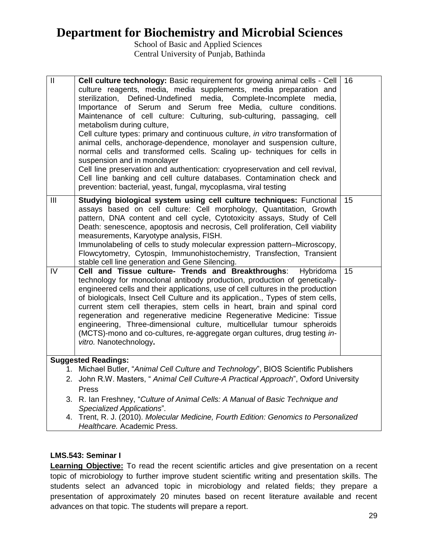School of Basic and Applied Sciences Central University of Punjab, Bathinda

| $\overline{\mathbb{I}}$ | Cell culture technology: Basic requirement for growing animal cells - Cell<br>culture reagents, media, media supplements, media preparation and<br>Defined-Undefined media, Complete-Incomplete media,<br>sterilization,<br>Importance of Serum and Serum free Media, culture conditions.<br>Maintenance of cell culture: Culturing, sub-culturing, passaging, cell<br>metabolism during culture,<br>Cell culture types: primary and continuous culture, in vitro transformation of<br>animal cells, anchorage-dependence, monolayer and suspension culture,<br>normal cells and transformed cells. Scaling up- techniques for cells in<br>suspension and in monolayer<br>Cell line preservation and authentication: cryopreservation and cell revival,<br>Cell line banking and cell culture databases. Contamination check and<br>prevention: bacterial, yeast, fungal, mycoplasma, viral testing | 16 |
|-------------------------|-----------------------------------------------------------------------------------------------------------------------------------------------------------------------------------------------------------------------------------------------------------------------------------------------------------------------------------------------------------------------------------------------------------------------------------------------------------------------------------------------------------------------------------------------------------------------------------------------------------------------------------------------------------------------------------------------------------------------------------------------------------------------------------------------------------------------------------------------------------------------------------------------------|----|
| $\mathbf{III}$          | Studying biological system using cell culture techniques: Functional<br>assays based on cell culture: Cell morphology, Quantitation, Growth<br>pattern, DNA content and cell cycle, Cytotoxicity assays, Study of Cell<br>Death: senescence, apoptosis and necrosis, Cell proliferation, Cell viability<br>measurements, Karyotype analysis, FISH.<br>Immunolabeling of cells to study molecular expression pattern-Microscopy,<br>Flowcytometry, Cytospin, Immunohistochemistry, Transfection, Transient<br>stable cell line generation and Gene Silencing.                                                                                                                                                                                                                                                                                                                                        | 15 |
| IV                      | Cell and Tissue culture- Trends and Breakthroughs:<br>Hybridoma<br>technology for monoclonal antibody production, production of genetically-<br>engineered cells and their applications, use of cell cultures in the production<br>of biologicals, Insect Cell Culture and its application., Types of stem cells,<br>current stem cell therapies, stem cells in heart, brain and spinal cord<br>regeneration and regenerative medicine Regenerative Medicine: Tissue<br>engineering, Three-dimensional culture, multicellular tumour spheroids<br>(MCTS)-mono and co-cultures, re-aggregate organ cultures, drug testing in-<br>vitro. Nanotechnology.                                                                                                                                                                                                                                              | 15 |
|                         | <b>Suggested Readings:</b>                                                                                                                                                                                                                                                                                                                                                                                                                                                                                                                                                                                                                                                                                                                                                                                                                                                                          |    |
|                         | 1. Michael Butler, "Animal Cell Culture and Technology", BIOS Scientific Publishers                                                                                                                                                                                                                                                                                                                                                                                                                                                                                                                                                                                                                                                                                                                                                                                                                 |    |
|                         | 2. John R.W. Masters, "Animal Cell Culture-A Practical Approach", Oxford University                                                                                                                                                                                                                                                                                                                                                                                                                                                                                                                                                                                                                                                                                                                                                                                                                 |    |
|                         | Press                                                                                                                                                                                                                                                                                                                                                                                                                                                                                                                                                                                                                                                                                                                                                                                                                                                                                               |    |
|                         | 3. R. Ian Freshney, "Culture of Animal Cells: A Manual of Basic Technique and<br>Specialized Applications".                                                                                                                                                                                                                                                                                                                                                                                                                                                                                                                                                                                                                                                                                                                                                                                         |    |
|                         | 4. Trent, R. J. (2010). Molecular Medicine, Fourth Edition: Genomics to Personalized<br>Healthcare. Academic Press.                                                                                                                                                                                                                                                                                                                                                                                                                                                                                                                                                                                                                                                                                                                                                                                 |    |

### **LMS.543: Seminar I**

**Learning Objective:** To read the recent scientific articles and give presentation on a recent topic of microbiology to further improve student scientific writing and presentation skills. The students select an advanced topic in microbiology and related fields; they prepare a presentation of approximately 20 minutes based on recent literature available and recent advances on that topic. The students will prepare a report.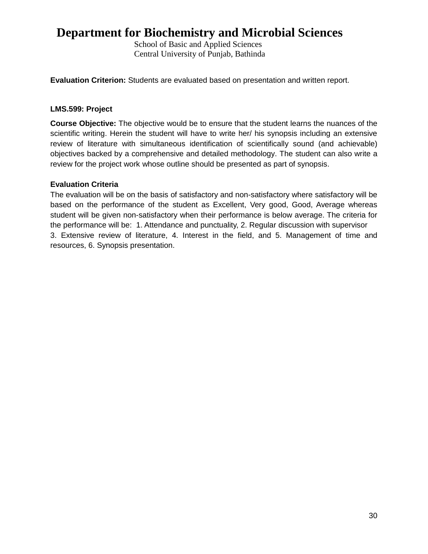School of Basic and Applied Sciences Central University of Punjab, Bathinda

**Evaluation Criterion:** Students are evaluated based on presentation and written report.

#### **LMS.599: Project**

**Course Objective:** The objective would be to ensure that the student learns the nuances of the scientific writing. Herein the student will have to write her/ his synopsis including an extensive review of literature with simultaneous identification of scientifically sound (and achievable) objectives backed by a comprehensive and detailed methodology. The student can also write a review for the project work whose outline should be presented as part of synopsis.

#### **Evaluation Criteria**

The evaluation will be on the basis of satisfactory and non-satisfactory where satisfactory will be based on the performance of the student as Excellent, Very good, Good, Average whereas student will be given non-satisfactory when their performance is below average. The criteria for the performance will be: 1. Attendance and punctuality, 2. Regular discussion with supervisor 3. Extensive review of literature, 4. Interest in the field, and 5. Management of time and resources, 6. Synopsis presentation.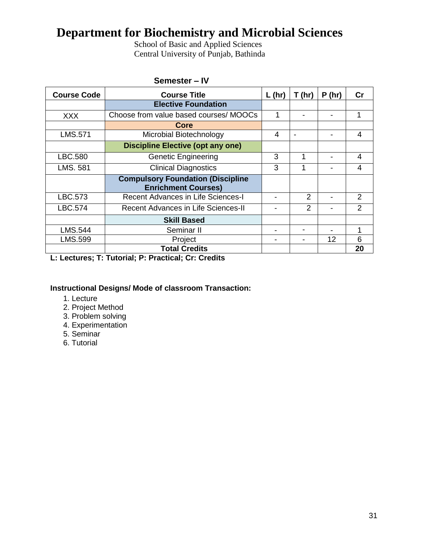School of Basic and Applied Sciences Central University of Punjab, Bathinda

| <b>Course Code</b> | <b>Course Title</b>                        | $L$ (hr) | T(hr)          | P(hr) | $\mathsf{Cr}$  |
|--------------------|--------------------------------------------|----------|----------------|-------|----------------|
|                    | <b>Elective Foundation</b>                 |          |                |       |                |
| <b>XXX</b>         | Choose from value based courses/ MOOCs     |          |                |       | 1              |
|                    | Core                                       |          |                |       |                |
| <b>LMS.571</b>     | Microbial Biotechnology                    | 4        |                |       | 4              |
|                    | <b>Discipline Elective (opt any one)</b>   |          |                |       |                |
| LBC.580            | <b>Genetic Engineering</b>                 | 3        |                |       | 4              |
| LMS. 581           | <b>Clinical Diagnostics</b>                | 3        | 1              |       | 4              |
|                    | <b>Compulsory Foundation (Discipline</b>   |          |                |       |                |
|                    | <b>Enrichment Courses)</b>                 |          |                |       |                |
| LBC.573            | <b>Recent Advances in Life Sciences-I</b>  | -        | $\overline{2}$ |       | 2              |
| <b>LBC.574</b>     | <b>Recent Advances in Life Sciences-II</b> | ۰        | $\mathcal{P}$  |       | $\overline{2}$ |
|                    | <b>Skill Based</b>                         |          |                |       |                |
| LMS.544            | Seminar II                                 | -        |                |       | 1              |
| LMS.599            | Project                                    |          |                | 12    | 6              |
|                    | <b>Total Credits</b>                       |          |                |       | 20             |

#### **Semester – IV**

**L: Lectures; T: Tutorial; P: Practical; Cr: Credits**

### **Instructional Designs/ Mode of classroom Transaction:**

- 1. Lecture
- 2. Project Method
- 3. Problem solving
- 4. Experimentation
- 5. Seminar
- 6. Tutorial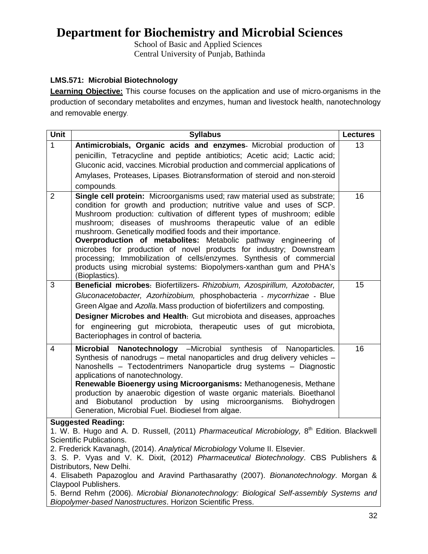School of Basic and Applied Sciences Central University of Punjab, Bathinda

### **LMS.571: Microbial Biotechnology**

**Learning Objective:** This course focuses on the application and use of micro-organisms in the production of secondary metabolites and enzymes, human and livestock health, nanotechnology and removable energy.

| Unit           | <b>Syllabus</b>                                                                                                                                                                                                                                                                                                                                                                                                                                                                                                                                                                                                                                       | <b>Lectures</b> |  |
|----------------|-------------------------------------------------------------------------------------------------------------------------------------------------------------------------------------------------------------------------------------------------------------------------------------------------------------------------------------------------------------------------------------------------------------------------------------------------------------------------------------------------------------------------------------------------------------------------------------------------------------------------------------------------------|-----------------|--|
| $\mathbf{1}$   | Antimicrobials, Organic acids and enzymes- Microbial production of                                                                                                                                                                                                                                                                                                                                                                                                                                                                                                                                                                                    | 13              |  |
|                | penicillin, Tetracycline and peptide antibiotics; Acetic acid; Lactic acid;                                                                                                                                                                                                                                                                                                                                                                                                                                                                                                                                                                           |                 |  |
|                | Gluconic acid, vaccines. Microbial production and commercial applications of                                                                                                                                                                                                                                                                                                                                                                                                                                                                                                                                                                          |                 |  |
|                | Amylases, Proteases, Lipases. Biotransformation of steroid and non-steroid                                                                                                                                                                                                                                                                                                                                                                                                                                                                                                                                                                            |                 |  |
|                | compounds.                                                                                                                                                                                                                                                                                                                                                                                                                                                                                                                                                                                                                                            |                 |  |
| $\overline{2}$ | Single cell protein: Microorganisms used; raw material used as substrate;<br>condition for growth and production; nutritive value and uses of SCP.<br>Mushroom production: cultivation of different types of mushroom; edible<br>mushroom; diseases of mushrooms therapeutic value of an edible<br>mushroom. Genetically modified foods and their importance.<br>Overproduction of metabolites: Metabolic pathway engineering of<br>microbes for production of novel products for industry; Downstream<br>processing; Immobilization of cells/enzymes. Synthesis of commercial<br>products using microbial systems: Biopolymers-xanthan gum and PHA's | 16              |  |
|                | (Bioplastics).                                                                                                                                                                                                                                                                                                                                                                                                                                                                                                                                                                                                                                        |                 |  |
| 3<br>4         | Beneficial microbes: Biofertilizers- Rhizobium, Azospirillum, Azotobacter,<br>Gluconacetobacter, Azorhizobium, phosphobacteria - mycorrhizae - Blue<br>Green Algae and Azolla. Mass production of biofertilizers and composting.<br>Designer Microbes and Health: Gut microbiota and diseases, approaches<br>for engineering gut microbiota, therapeutic uses of gut microbiota,<br>Bacteriophages in control of bacteria.<br>Microbial Nanotechnology -Microbial synthesis<br>of Nanoparticles.                                                                                                                                                      | 15<br>16        |  |
|                | Synthesis of nanodrugs - metal nanoparticles and drug delivery vehicles -<br>Nanoshells - Tectodentrimers Nanoparticle drug systems - Diagnostic<br>applications of nanotechnology.<br>Renewable Bioenergy using Microorganisms: Methanogenesis, Methane<br>production by anaerobic digestion of waste organic materials. Bioethanol<br>Biobutanol production by using microorganisms.<br>Biohydrogen<br>and<br>Generation, Microbial Fuel. Biodiesel from algae.                                                                                                                                                                                     |                 |  |
|                | <b>Suggested Reading:</b>                                                                                                                                                                                                                                                                                                                                                                                                                                                                                                                                                                                                                             |                 |  |
|                | 1. W. B. Hugo and A. D. Russell, (2011) Pharmaceutical Microbiology, 8 <sup>th</sup> Edition. Blackwell<br>Scientific Publications.<br>2. Frederick Kavanagh, (2014). Analytical Microbiology Volume II. Elsevier.<br>3. S. P. Vyas and V. K. Dixit, (2012) Pharmaceutical Biotechnology. CBS Publishers &<br>Distributors, New Delhi.<br>4. Elisabeth Papazoglou and Aravind Parthasarathy (2007). Bionanotechnology. Morgan &                                                                                                                                                                                                                       |                 |  |
|                | Claypool Publishers.<br>5. Bernd Rehm (2006). Microbial Bionanotechnology: Biological Self-assembly Systems and<br>Biopolymer-based Nanostructures. Horizon Scientific Press.                                                                                                                                                                                                                                                                                                                                                                                                                                                                         |                 |  |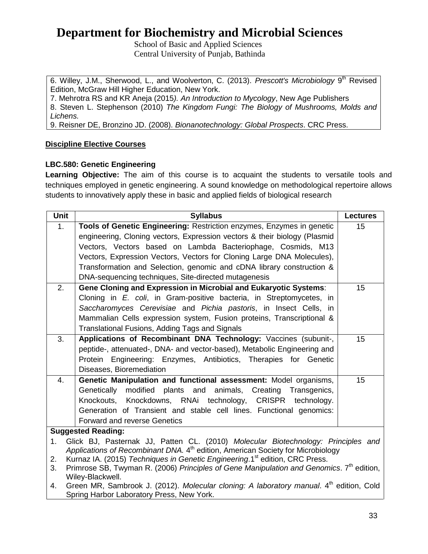School of Basic and Applied Sciences Central University of Punjab, Bathinda

6. Willey, J.M., Sherwood, L., and Woolverton, C. (2013). Prescott's Microbiology 9<sup>th</sup> Revised Edition, McGraw Hill Higher Education, New York.

7. Mehrotra RS and KR Aneja (2015*). An Introduction to Mycology*, New Age Publishers

8. Steven L. Stephenson (2010) *The Kingdom Fungi: The Biology of Mushrooms, Molds and Lichens.*

9. Reisner DE, Bronzino JD. (2008). *Bionanotechnology: Global Prospects*. CRC Press.

### **Discipline Elective Courses**

### **LBC.580: Genetic Engineering**

Learning Objective: The aim of this course is to acquaint the students to versatile tools and techniques employed in genetic engineering. A sound knowledge on methodological repertoire allows students to innovatively apply these in basic and applied fields of biological research

| <b>Unit</b>                                                                             | <b>Syllabus</b>                                                                                                          | <b>Lectures</b> |  |
|-----------------------------------------------------------------------------------------|--------------------------------------------------------------------------------------------------------------------------|-----------------|--|
| 1.                                                                                      | Tools of Genetic Engineering: Restriction enzymes, Enzymes in genetic                                                    | 15              |  |
|                                                                                         | engineering, Cloning vectors, Expression vectors & their biology (Plasmid                                                |                 |  |
|                                                                                         | Vectors, Vectors based on Lambda Bacteriophage, Cosmids, M13                                                             |                 |  |
|                                                                                         | Vectors, Expression Vectors, Vectors for Cloning Large DNA Molecules),                                                   |                 |  |
|                                                                                         | Transformation and Selection, genomic and cDNA library construction &                                                    |                 |  |
|                                                                                         | DNA-sequencing techniques, Site-directed mutagenesis                                                                     | 15              |  |
| 2.                                                                                      | Gene Cloning and Expression in Microbial and Eukaryotic Systems:                                                         |                 |  |
|                                                                                         | Cloning in E. coli, in Gram-positive bacteria, in Streptomycetes, in                                                     |                 |  |
|                                                                                         | Saccharomyces Cerevisiae and Pichia pastoris, in Insect Cells, in                                                        |                 |  |
|                                                                                         | Mammalian Cells expression system, Fusion proteins, Transcriptional &                                                    |                 |  |
|                                                                                         | Translational Fusions, Adding Tags and Signals                                                                           |                 |  |
| 3.                                                                                      | Applications of Recombinant DNA Technology: Vaccines (subunit-,                                                          | 15              |  |
|                                                                                         | peptide-, attenuated-, DNA- and vector-based), Metabolic Engineering and                                                 |                 |  |
|                                                                                         | Protein Engineering: Enzymes, Antibiotics, Therapies for Genetic                                                         |                 |  |
|                                                                                         | Diseases, Bioremediation                                                                                                 |                 |  |
| 4.                                                                                      | Genetic Manipulation and functional assessment: Model organisms,                                                         | 15              |  |
|                                                                                         | Genetically modified plants and animals, Creating<br>Transgenics,                                                        |                 |  |
|                                                                                         | Knockouts, Knockdowns, RNAi technology, CRISPR<br>technology.                                                            |                 |  |
|                                                                                         | Generation of Transient and stable cell lines. Functional genomics:                                                      |                 |  |
|                                                                                         | <b>Forward and reverse Genetics</b>                                                                                      |                 |  |
| <b>Suggested Reading:</b>                                                               |                                                                                                                          |                 |  |
| Glick BJ, Pasternak JJ, Patten CL. (2010) Molecular Biotechnology: Principles and<br>1. |                                                                                                                          |                 |  |
|                                                                                         | Applications of Recombinant DNA. 4 <sup>th</sup> edition, American Society for Microbiology                              |                 |  |
| 2.<br>3.                                                                                | Kurnaz IA. (2015) Techniques in Genetic Engineering.1 <sup>st</sup> edition, CRC Press.                                  |                 |  |
|                                                                                         | Primrose SB, Twyman R. (2006) Principles of Gene Manipulation and Genomics. 7 <sup>th</sup> edition,<br>Wiley-Blackwell. |                 |  |
| 4                                                                                       | Green MR Sambrook J (2012) Molecular cloning: A laboratory manual 4 <sup>th</sup> edition Cold                           |                 |  |

ambrook J. (2012). *Molecular cloning: A laboratory manual*. 4" edition, Cold Spring Harbor Laboratory Press, New York.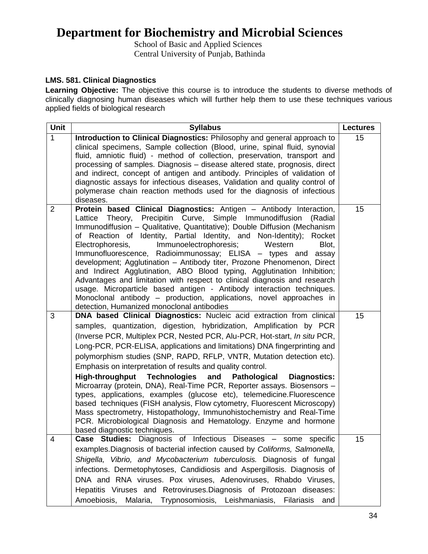School of Basic and Applied Sciences Central University of Punjab, Bathinda

### **LMS. 581. Clinical Diagnostics**

Learning Objective: The objective this course is to introduce the students to diverse methods of clinically diagnosing human diseases which will further help them to use these techniques various applied fields of biological research

| Unit           | <b>Syllabus</b>                                                                                                                                                                                                                                                                                                                                                                                                                                                                                                                                                                                                                                                                                                                                                                                                                                                                                                                                                | <b>Lectures</b> |
|----------------|----------------------------------------------------------------------------------------------------------------------------------------------------------------------------------------------------------------------------------------------------------------------------------------------------------------------------------------------------------------------------------------------------------------------------------------------------------------------------------------------------------------------------------------------------------------------------------------------------------------------------------------------------------------------------------------------------------------------------------------------------------------------------------------------------------------------------------------------------------------------------------------------------------------------------------------------------------------|-----------------|
| 1              | Introduction to Clinical Diagnostics: Philosophy and general approach to<br>clinical specimens, Sample collection (Blood, urine, spinal fluid, synovial<br>fluid, amniotic fluid) - method of collection, preservation, transport and<br>processing of samples. Diagnosis – disease altered state, prognosis, direct<br>and indirect, concept of antigen and antibody. Principles of validation of<br>diagnostic assays for infectious diseases, Validation and quality control of<br>polymerase chain reaction methods used for the diagnosis of infectious<br>diseases.                                                                                                                                                                                                                                                                                                                                                                                      | 15              |
| $\overline{2}$ | Protein based Clinical Diagnostics: Antigen - Antibody Interaction,<br>Lattice Theory, Precipitin Curve, Simple Immunodiffusion<br>(Radial<br>Immunodiffusion - Qualitative, Quantitative); Double Diffusion (Mechanism<br>of Reaction of Identity, Partial Identity, and Non-Identity);<br>Rocket<br>Immunoelectrophoresis;<br>Electrophoresis,<br>Western<br>Blot,<br>Immunofluorescence, Radioimmunossay; ELISA - types and<br>assay<br>development; Agglutination - Antibody titer, Prozone Phenomenon, Direct<br>and Indirect Agglutination, ABO Blood typing, Agglutination Inhibition;<br>Advantages and limitation with respect to clinical diagnosis and research<br>usage. Microparticle based antigen - Antibody interaction techniques.<br>Monoclonal antibody – production, applications, novel approaches in<br>detection, Humanized monoclonal antibodies                                                                                       | 15              |
| 3              | DNA based Clinical Diagnostics: Nucleic acid extraction from clinical<br>samples, quantization, digestion, hybridization, Amplification by PCR<br>(Inverse PCR, Multiplex PCR, Nested PCR, Alu-PCR, Hot-start, In situ PCR,<br>Long-PCR, PCR-ELISA, applications and limitations) DNA fingerprinting and<br>polymorphism studies (SNP, RAPD, RFLP, VNTR, Mutation detection etc).<br>Emphasis on interpretation of results and quality control.<br><b>Technologies</b><br><b>High-throughput</b><br>and<br>Pathological<br><b>Diagnostics:</b><br>Microarray (protein, DNA), Real-Time PCR, Reporter assays. Biosensors -<br>types, applications, examples (glucose etc), telemedicine. Fluorescence<br>based techniques (FISH analysis, Flow cytometry, Fluorescent Microscopy)<br>Mass spectrometry, Histopathology, Immunohistochemistry and Real-Time<br>PCR. Microbiological Diagnosis and Hematology. Enzyme and hormone<br>based diagnostic techniques. | 15              |
| 4              | Case Studies: Diagnosis of Infectious Diseases - some specific<br>examples. Diagnosis of bacterial infection caused by Coliforms, Salmonella,<br>Shigella, Vibrio, and Mycobacterium tuberculosis. Diagnosis of fungal<br>infections. Dermetophytoses, Candidiosis and Aspergillosis. Diagnosis of<br>DNA and RNA viruses. Pox viruses, Adenoviruses, Rhabdo Viruses,<br>Hepatitis Viruses and Retroviruses. Diagnosis of Protozoan diseases:<br>Amoebiosis, Malaria, Trypnosomiosis, Leishmaniasis, Filariasis<br>and                                                                                                                                                                                                                                                                                                                                                                                                                                         | 15              |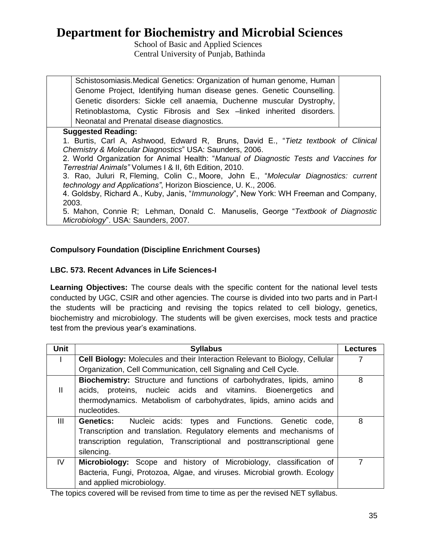School of Basic and Applied Sciences Central University of Punjab, Bathinda

| Schistosomiasis. Medical Genetics: Organization of human genome, Human |  |  |  |
|------------------------------------------------------------------------|--|--|--|
| Genome Project, Identifying human disease genes. Genetic Counselling.  |  |  |  |
| Genetic disorders: Sickle cell anaemia, Duchenne muscular Dystrophy,   |  |  |  |
| Retinoblastoma, Cystic Fibrosis and Sex –linked inherited disorders.   |  |  |  |
| Neonatal and Prenatal disease diagnostics.                             |  |  |  |

#### **Suggested Reading:**

1. Burtis, Carl A, Ashwood, Edward R, Bruns, David E., "*Tietz textbook of Clinical Chemistry & Molecular Diagnostics*" USA: Saunders, 2006.

2. World Organization for Animal Health: "*Manual of Diagnostic Tests and Vaccines for Terrestrial Animals"* Volumes I & II, 6th Edition, 2010.

3. Rao, Juluri R, Fleming, Colin C., Moore, John E., "*Molecular Diagnostics: current technology and Applications"*, Horizon Bioscience, U. K., 2006.

4. Goldsby, Richard A., Kuby, Janis, "*Immunology*", New York: WH Freeman and Company, 2003.

5. Mahon, Connie R; Lehman, Donald C. Manuselis, George "*Textbook of Diagnostic Microbiology*". USA: Saunders, 2007.

#### **Compulsory Foundation (Discipline Enrichment Courses)**

#### **LBC. 573. Recent Advances in Life Sciences-I**

**Learning Objectives:** The course deals with the specific content for the national level tests conducted by UGC, CSIR and other agencies. The course is divided into two parts and in Part-I the students will be practicing and revising the topics related to cell biology, genetics, biochemistry and microbiology. The students will be given exercises, mock tests and practice test from the previous year's examinations.

| <b>Unit</b>  | <b>Syllabus</b>                                                                                                                                                                                                                          | <b>Lectures</b> |
|--------------|------------------------------------------------------------------------------------------------------------------------------------------------------------------------------------------------------------------------------------------|-----------------|
|              | Cell Biology: Molecules and their Interaction Relevant to Biology, Cellular                                                                                                                                                              |                 |
|              | Organization, Cell Communication, cell Signaling and Cell Cycle.                                                                                                                                                                         |                 |
| $\mathbf{H}$ | <b>Biochemistry:</b> Structure and functions of carbohydrates, lipids, amino<br>acids, proteins, nucleic acids and vitamins. Bioenergetics and<br>thermodynamics. Metabolism of carbohydrates, lipids, amino acids and<br>nucleotides.   | 8               |
| III          | Nucleic acids: types and Functions. Genetic<br><b>Genetics:</b><br>code.<br>Transcription and translation. Regulatory elements and mechanisms of<br>transcription regulation, Transcriptional and posttranscriptional gene<br>silencing. | 8               |
| IV           | Microbiology: Scope and history of Microbiology, classification of<br>Bacteria, Fungi, Protozoa, Algae, and viruses. Microbial growth. Ecology<br>and applied microbiology.                                                              | 7               |

The topics covered will be revised from time to time as per the revised NET syllabus.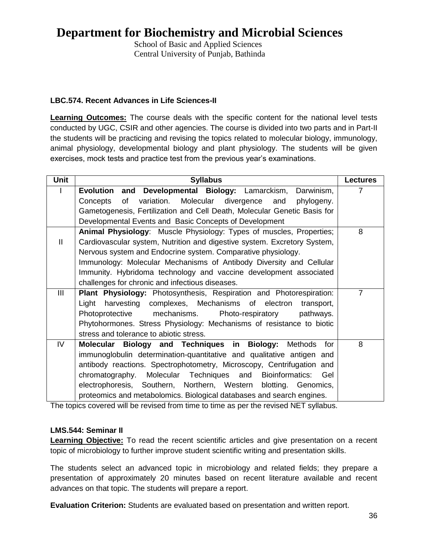School of Basic and Applied Sciences Central University of Punjab, Bathinda

### **LBC.574. Recent Advances in Life Sciences-II**

**Learning Outcomes:** The course deals with the specific content for the national level tests conducted by UGC, CSIR and other agencies. The course is divided into two parts and in Part-II the students will be practicing and revising the topics related to molecular biology, immunology, animal physiology, developmental biology and plant physiology. The students will be given exercises, mock tests and practice test from the previous year's examinations.

| <b>Unit</b>  | <b>Syllabus</b>                                                             | <b>Lectures</b> |
|--------------|-----------------------------------------------------------------------------|-----------------|
|              | and<br>Developmental Biology: Lamarckism,<br><b>Evolution</b><br>Darwinism, | 7               |
|              | Molecular divergence and<br>of<br>variation.<br>phylogeny.<br>Concepts      |                 |
|              | Gametogenesis, Fertilization and Cell Death, Molecular Genetic Basis for    |                 |
|              | Developmental Events and Basic Concepts of Development                      |                 |
|              | Animal Physiology: Muscle Physiology: Types of muscles, Properties;         | 8               |
| $\mathbf{H}$ | Cardiovascular system, Nutrition and digestive system. Excretory System,    |                 |
|              | Nervous system and Endocrine system. Comparative physiology.                |                 |
|              | Immunology: Molecular Mechanisms of Antibody Diversity and Cellular         |                 |
|              | Immunity. Hybridoma technology and vaccine development associated           |                 |
|              | challenges for chronic and infectious diseases.                             |                 |
| Ш            | Plant Physiology: Photosynthesis, Respiration and Photorespiration:         | $\overline{7}$  |
|              | complexes, Mechanisms of electron<br>Light<br>harvesting<br>transport,      |                 |
|              | mechanisms.<br>Photoprotective<br>Photo-respiratory<br>pathways.            |                 |
|              | Phytohormones. Stress Physiology: Mechanisms of resistance to biotic        |                 |
|              | stress and tolerance to abiotic stress.                                     |                 |
| IV           | Molecular Biology and Techniques in Biology:<br>Methods for                 | 8               |
|              | immunoglobulin determination-quantitative and qualitative antigen and       |                 |
|              | antibody reactions. Spectrophotometry, Microscopy, Centrifugation and       |                 |
|              | chromatography. Molecular Techniques and<br>Bioinformatics:<br>Gel          |                 |
|              | electrophoresis, Southern, Northern, Western<br>blotting. Genomics,         |                 |
|              | proteomics and metabolomics. Biological databases and search engines.       |                 |

The topics covered will be revised from time to time as per the revised NET syllabus.

#### **LMS.544: Seminar II**

**Learning Objective:** To read the recent scientific articles and give presentation on a recent topic of microbiology to further improve student scientific writing and presentation skills.

The students select an advanced topic in microbiology and related fields; they prepare a presentation of approximately 20 minutes based on recent literature available and recent advances on that topic. The students will prepare a report.

**Evaluation Criterion:** Students are evaluated based on presentation and written report.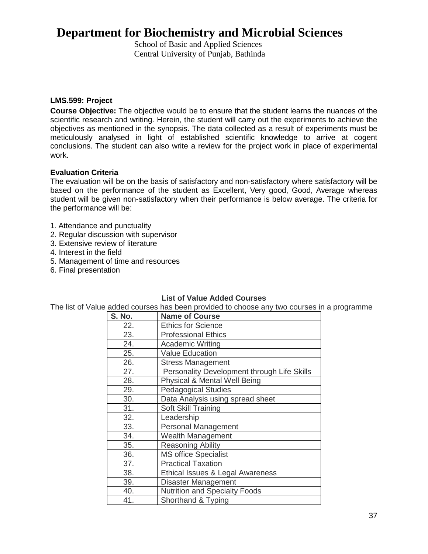School of Basic and Applied Sciences Central University of Punjab, Bathinda

#### **LMS.599: Project**

**Course Objective:** The objective would be to ensure that the student learns the nuances of the scientific research and writing. Herein, the student will carry out the experiments to achieve the objectives as mentioned in the synopsis. The data collected as a result of experiments must be meticulously analysed in light of established scientific knowledge to arrive at cogent conclusions. The student can also write a review for the project work in place of experimental work.

#### **Evaluation Criteria**

The evaluation will be on the basis of satisfactory and non-satisfactory where satisfactory will be based on the performance of the student as Excellent, Very good, Good, Average whereas student will be given non-satisfactory when their performance is below average. The criteria for the performance will be:

- 1. Attendance and punctuality
- 2. Regular discussion with supervisor
- 3. Extensive review of literature
- 4. Interest in the field
- 5. Management of time and resources
- 6. Final presentation

#### **List of Value Added Courses**

The list of Value added courses has been provided to choose any two courses in a programme

| S. No. | <b>Name of Course</b>                       |
|--------|---------------------------------------------|
| 22.    | <b>Ethics for Science</b>                   |
| 23.    | <b>Professional Ethics</b>                  |
| 24.    | <b>Academic Writing</b>                     |
| 25.    | <b>Value Education</b>                      |
| 26.    | <b>Stress Management</b>                    |
| 27.    | Personality Development through Life Skills |
| 28.    | Physical & Mental Well Being                |
| 29.    | <b>Pedagogical Studies</b>                  |
| 30.    | Data Analysis using spread sheet            |
| 31.    | Soft Skill Training                         |
| 32.    | Leadership                                  |
| 33.    | <b>Personal Management</b>                  |
| 34.    | Wealth Management                           |
| 35.    | <b>Reasoning Ability</b>                    |
| 36.    | <b>MS office Specialist</b>                 |
| 37.    | <b>Practical Taxation</b>                   |
| 38.    | Ethical Issues & Legal Awareness            |
| 39.    | <b>Disaster Management</b>                  |
| 40.    | <b>Nutrition and Specialty Foods</b>        |
| 41.    | Shorthand & Typing                          |